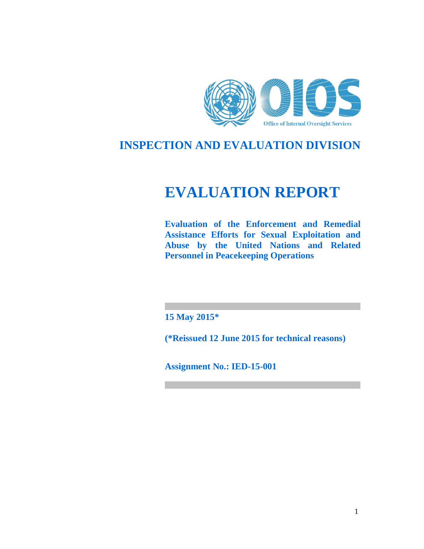

# **INSPECTION AND EVALUATION DIVISION**

# **EVALUATION REPORT**

**Evaluation of the Enforcement and Remedial Assistance Efforts for Sexual Exploitation and Abuse by the United Nations and Related Personnel in Peacekeeping Operations** 

**15 May 2015\*** 

**(\*Reissued 12 June 2015 for technical reasons)**

**Assignment No.: IED-15-001**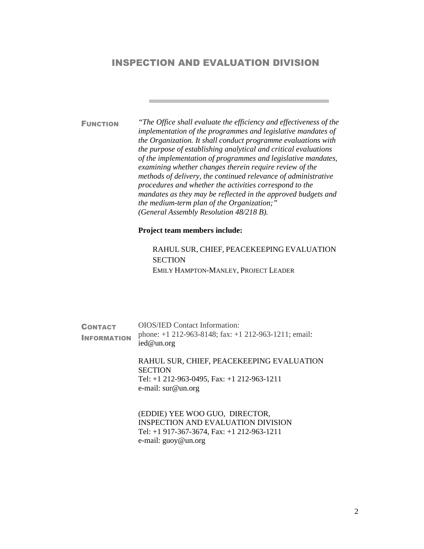# INSPECTION AND EVALUATION DIVISION

FUNCTION *"The Office shall evaluate the efficiency and effectiveness of the implementation of the programmes and legislative mandates of the Organization. It shall conduct programme evaluations with the purpose of establishing analytical and critical evaluations of the implementation of programmes and legislative mandates, examining whether changes therein require review of the methods of delivery, the continued relevance of administrative procedures and whether the activities correspond to the mandates as they may be reflected in the approved budgets and the medium-term plan of the Organization;" (General Assembly Resolution 48/218 B).* 

#### **Project team members include:**

RAHUL SUR, CHIEF, PEACEKEEPING EVALUATION **SECTION** EMILY HAMPTON-MANLEY, PROJECT LEADER

**CONTACT INFORMATION** OIOS/IED Contact Information: phone: +1 212-963-8148; fax: +1 212-963-1211; email: ied@un.org

RAHUL SUR, CHIEF, PEACEKEEPING EVALUATION **SECTION** Tel: +1 212-963-0495, Fax: +1 212-963-1211 e-mail: sur@un.org

(EDDIE) YEE WOO GUO, DIRECTOR, INSPECTION AND EVALUATION DIVISION Tel: +1 917-367-3674, Fax: +1 212-963-1211 e-mail: guoy@un.org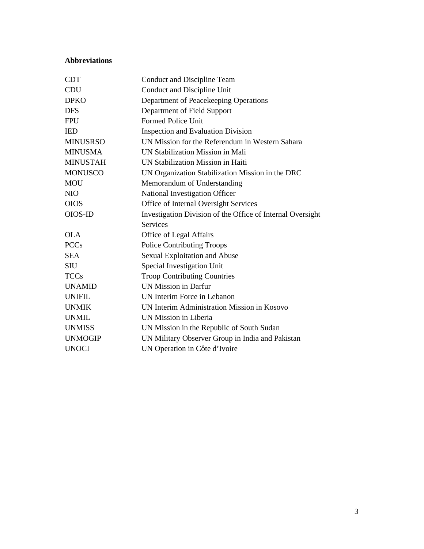# **Abbreviations**

| <b>CDT</b>      | Conduct and Discipline Team                                |
|-----------------|------------------------------------------------------------|
| <b>CDU</b>      | Conduct and Discipline Unit                                |
| <b>DPKO</b>     | Department of Peacekeeping Operations                      |
| <b>DFS</b>      | Department of Field Support                                |
| <b>FPU</b>      | <b>Formed Police Unit</b>                                  |
| <b>IED</b>      | <b>Inspection and Evaluation Division</b>                  |
| <b>MINUSRSO</b> | UN Mission for the Referendum in Western Sahara            |
| <b>MINUSMA</b>  | UN Stabilization Mission in Mali                           |
| <b>MINUSTAH</b> | UN Stabilization Mission in Haiti                          |
| <b>MONUSCO</b>  | UN Organization Stabilization Mission in the DRC           |
| <b>MOU</b>      | Memorandum of Understanding                                |
| NIO             | National Investigation Officer                             |
| <b>OIOS</b>     | Office of Internal Oversight Services                      |
| OIOS-ID         | Investigation Division of the Office of Internal Oversight |
|                 | <b>Services</b>                                            |
| <b>OLA</b>      | Office of Legal Affairs                                    |
| <b>PCCs</b>     | <b>Police Contributing Troops</b>                          |
| <b>SEA</b>      | <b>Sexual Exploitation and Abuse</b>                       |
| <b>SIU</b>      | Special Investigation Unit                                 |
| <b>TCCs</b>     | <b>Troop Contributing Countries</b>                        |
| <b>UNAMID</b>   | <b>UN Mission in Darfur</b>                                |
| <b>UNIFIL</b>   | UN Interim Force in Lebanon                                |
| <b>UNMIK</b>    | UN Interim Administration Mission in Kosovo                |
| <b>UNMIL</b>    | UN Mission in Liberia                                      |
| <b>UNMISS</b>   | UN Mission in the Republic of South Sudan                  |
| <b>UNMOGIP</b>  | UN Military Observer Group in India and Pakistan           |
| UNOCI           | UN Operation in Côte d'Ivoire                              |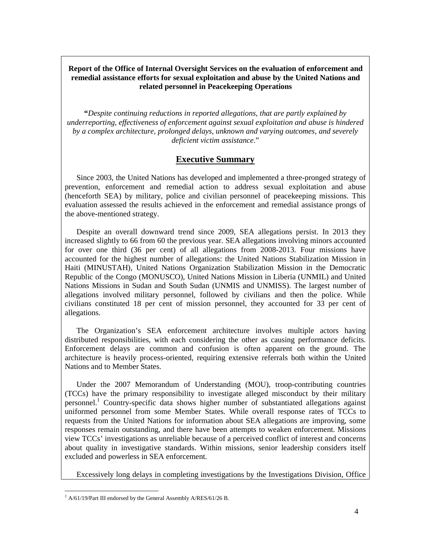#### **Report of the Office of Internal Oversight Services on the evaluation of enforcement and remedial assistance efforts for sexual exploitation and abuse by the United Nations and related personnel in Peacekeeping Operations**

**"***Despite continuing reductions in reported allegations, that are partly explained by underreporting, effectiveness of enforcement against sexual exploitation and abuse is hindered by a complex architecture, prolonged delays, unknown and varying outcomes, and severely deficient victim assistance*."

# **Executive Summary**

Since 2003, the United Nations has developed and implemented a three-pronged strategy of prevention, enforcement and remedial action to address sexual exploitation and abuse (henceforth SEA) by military, police and civilian personnel of peacekeeping missions. This evaluation assessed the results achieved in the enforcement and remedial assistance prongs of the above-mentioned strategy.

Despite an overall downward trend since 2009, SEA allegations persist. In 2013 they increased slightly to 66 from 60 the previous year. SEA allegations involving minors accounted for over one third (36 per cent) of all allegations from 2008-2013. Four missions have accounted for the highest number of allegations: the United Nations Stabilization Mission in Haiti (MINUSTAH), United Nations Organization Stabilization Mission in the Democratic Republic of the Congo (MONUSCO), United Nations Mission in Liberia (UNMIL) and United Nations Missions in Sudan and South Sudan (UNMIS and UNMISS). The largest number of allegations involved military personnel, followed by civilians and then the police. While civilians constituted 18 per cent of mission personnel, they accounted for 33 per cent of allegations.

The Organization's SEA enforcement architecture involves multiple actors having distributed responsibilities, with each considering the other as causing performance deficits. Enforcement delays are common and confusion is often apparent on the ground. The architecture is heavily process-oriented, requiring extensive referrals both within the United Nations and to Member States.

Under the 2007 Memorandum of Understanding (MOU), troop-contributing countries (TCCs) have the primary responsibility to investigate alleged misconduct by their military personnel.<sup>1</sup> Country-specific data shows higher number of substantiated allegations against uniformed personnel from some Member States. While overall response rates of TCCs to requests from the United Nations for information about SEA allegations are improving, some responses remain outstanding, and there have been attempts to weaken enforcement. Missions view TCCs' investigations as unreliable because of a perceived conflict of interest and concerns about quality in investigative standards. Within missions, senior leadership considers itself excluded and powerless in SEA enforcement.

Excessively long delays in completing investigations by the Investigations Division, Office

<sup>-</sup><sup>1</sup> A/61/19/Part III endorsed by the General Assembly A/RES/61/26 B.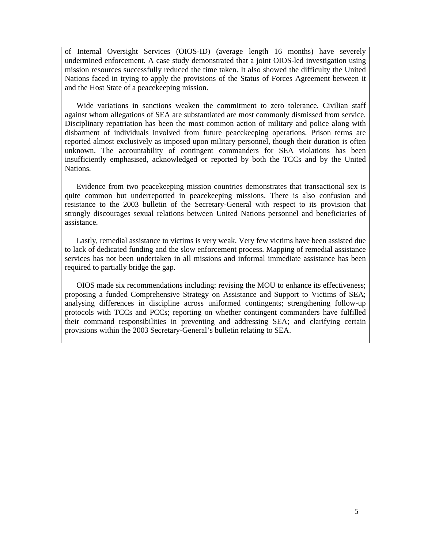of Internal Oversight Services (OIOS-ID) (average length 16 months) have severely undermined enforcement. A case study demonstrated that a joint OIOS-led investigation using mission resources successfully reduced the time taken. It also showed the difficulty the United Nations faced in trying to apply the provisions of the Status of Forces Agreement between it and the Host State of a peacekeeping mission.

Wide variations in sanctions weaken the commitment to zero tolerance. Civilian staff against whom allegations of SEA are substantiated are most commonly dismissed from service. Disciplinary repatriation has been the most common action of military and police along with disbarment of individuals involved from future peacekeeping operations. Prison terms are reported almost exclusively as imposed upon military personnel, though their duration is often unknown. The accountability of contingent commanders for SEA violations has been insufficiently emphasised, acknowledged or reported by both the TCCs and by the United Nations.

Evidence from two peacekeeping mission countries demonstrates that transactional sex is quite common but underreported in peacekeeping missions. There is also confusion and resistance to the 2003 bulletin of the Secretary-General with respect to its provision that strongly discourages sexual relations between United Nations personnel and beneficiaries of assistance.

Lastly, remedial assistance to victims is very weak. Very few victims have been assisted due to lack of dedicated funding and the slow enforcement process. Mapping of remedial assistance services has not been undertaken in all missions and informal immediate assistance has been required to partially bridge the gap.

OIOS made six recommendations including: revising the MOU to enhance its effectiveness; proposing a funded Comprehensive Strategy on Assistance and Support to Victims of SEA; analysing differences in discipline across uniformed contingents; strengthening follow-up protocols with TCCs and PCCs; reporting on whether contingent commanders have fulfilled their command responsibilities in preventing and addressing SEA; and clarifying certain provisions within the 2003 Secretary-General's bulletin relating to SEA.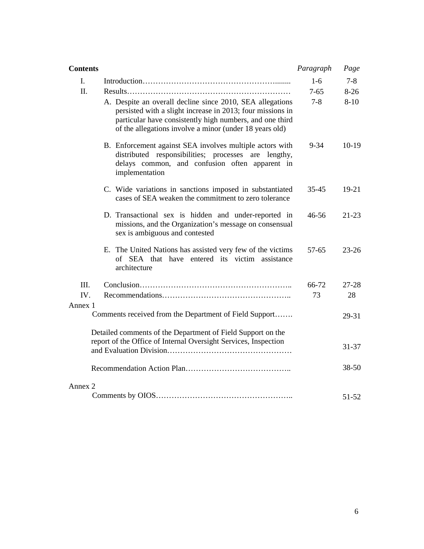| <b>Contents</b> |                                                                                                                                                                                                                                                | Paragraph | Page      |
|-----------------|------------------------------------------------------------------------------------------------------------------------------------------------------------------------------------------------------------------------------------------------|-----------|-----------|
| $\mathbf{I}$ .  |                                                                                                                                                                                                                                                | $1-6$     | $7 - 8$   |
| II.             |                                                                                                                                                                                                                                                | $7 - 65$  | $8-26$    |
|                 | A. Despite an overall decline since 2010, SEA allegations<br>persisted with a slight increase in 2013; four missions in<br>particular have consistently high numbers, and one third<br>of the allegations involve a minor (under 18 years old) | $7 - 8$   | $8 - 10$  |
|                 | B. Enforcement against SEA involves multiple actors with<br>distributed responsibilities; processes are lengthy,<br>delays common, and confusion often apparent in<br>implementation                                                           | $9 - 34$  | $10-19$   |
|                 | C. Wide variations in sanctions imposed in substantiated<br>cases of SEA weaken the commitment to zero tolerance                                                                                                                               | 35-45     | $19-21$   |
|                 | D. Transactional sex is hidden and under-reported in<br>missions, and the Organization's message on consensual<br>sex is ambiguous and contested                                                                                               | 46-56     | $21-23$   |
|                 | E. The United Nations has assisted very few of the victims<br>of SEA that have entered its victim assistance<br>architecture                                                                                                                   | 57-65     | $23 - 26$ |
| III.            |                                                                                                                                                                                                                                                | 66-72     | 27-28     |
| IV.<br>Annex 1  |                                                                                                                                                                                                                                                | 73        | 28        |
|                 | Comments received from the Department of Field Support                                                                                                                                                                                         |           | 29-31     |
|                 | Detailed comments of the Department of Field Support on the<br>report of the Office of Internal Oversight Services, Inspection                                                                                                                 |           | $31 - 37$ |
|                 |                                                                                                                                                                                                                                                |           | $38 - 50$ |
| Annex 2         |                                                                                                                                                                                                                                                |           |           |
|                 |                                                                                                                                                                                                                                                |           | 51-52     |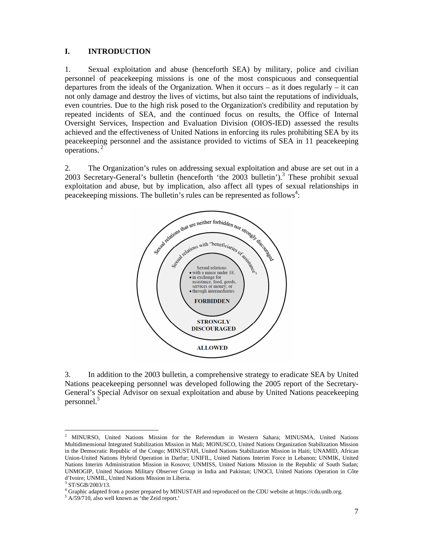#### **I. INTRODUCTION**

1. Sexual exploitation and abuse (henceforth SEA) by military, police and civilian personnel of peacekeeping missions is one of the most conspicuous and consequential departures from the ideals of the Organization. When it occurs – as it does regularly – it can not only damage and destroy the lives of victims, but also taint the reputations of individuals, even countries. Due to the high risk posed to the Organization's credibility and reputation by repeated incidents of SEA, and the continued focus on results, the Office of Internal Oversight Services, Inspection and Evaluation Division (OIOS-IED) assessed the results achieved and the effectiveness of United Nations in enforcing its rules prohibiting SEA by its peacekeeping personnel and the assistance provided to victims of SEA in 11 peacekeeping operations.<sup>2</sup>

2. The Organization's rules on addressing sexual exploitation and abuse are set out in a 2003 Secretary-General's bulletin (henceforth 'the  $2003$  bulletin').<sup>3</sup> These prohibit sexual exploitation and abuse, but by implication, also affect all types of sexual relationships in peacekeeping missions. The bulletin's rules can be represented as follows<sup>4</sup>:



3. In addition to the 2003 bulletin, a comprehensive strategy to eradicate SEA by United Nations peacekeeping personnel was developed following the 2005 report of the Secretary-General's Special Advisor on sexual exploitation and abuse by United Nations peacekeeping personnel.<sup>5</sup>

-

<sup>2</sup> MINURSO, United Nations Mission for the Referendum in Western Sahara; MINUSMA, United Nations Multidimensional Integrated Stabilization Mission in Mali; MONUSCO, United Nations Organization Stabilization Mission in the Democratic Republic of the Congo; MINUSTAH, United Nations Stabilization Mission in Haiti; UNAMID, African Union-United Nations Hybrid Operation in Darfur; UNIFIL, United Nations Interim Force in Lebanon; UNMIK, United Nations Interim Administration Mission in Kosovo; UNMISS, United Nations Mission in the Republic of South Sudan; UNMOGIP, United Nations Military Observer Group in India and Pakistan; UNOCI, United Nations Operation in Côte d'Ivoire; UNMIL, United Nations Mission in Liberia.

<sup>3</sup> ST/SGB/2003/13.

<sup>4</sup> Graphic adapted from a poster prepared by MINUSTAH and reproduced on the CDU website at https://cdu.unlb.org.

<sup>5</sup> A/59/710, also well known as 'the Zeid report.'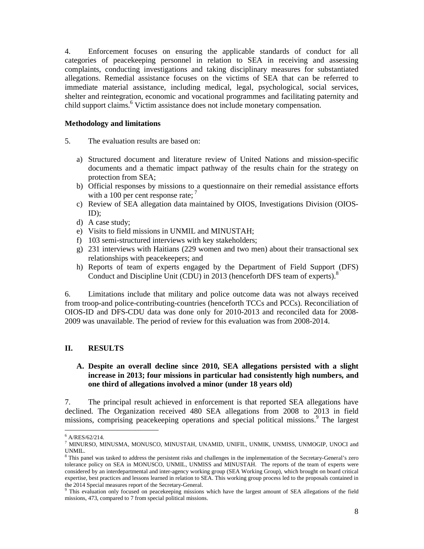4. Enforcement focuses on ensuring the applicable standards of conduct for all categories of peacekeeping personnel in relation to SEA in receiving and assessing complaints, conducting investigations and taking disciplinary measures for substantiated allegations. Remedial assistance focuses on the victims of SEA that can be referred to immediate material assistance, including medical, legal, psychological, social services, shelter and reintegration, economic and vocational programmes and facilitating paternity and child support claims.<sup>6</sup> Victim assistance does not include monetary compensation.

#### **Methodology and limitations**

5. The evaluation results are based on:

- a) Structured document and literature review of United Nations and mission-specific documents and a thematic impact pathway of the results chain for the strategy on protection from SEA;
- b) Official responses by missions to a questionnaire on their remedial assistance efforts with a 100 per cent response rate;  $<sup>7</sup>$ </sup>
- c) Review of SEA allegation data maintained by OIOS, Investigations Division (OIOS- $ID$ ;
- d) A case study;
- e) Visits to field missions in UNMIL and MINUSTAH;
- f) 103 semi-structured interviews with key stakeholders;
- g) 231 interviews with Haitians (229 women and two men) about their transactional sex relationships with peacekeepers; and
- h) Reports of team of experts engaged by the Department of Field Support (DFS) Conduct and Discipline Unit (CDU) in 2013 (henceforth DFS team of experts).<sup>8</sup>

6. Limitations include that military and police outcome data was not always received from troop-and police-contributing-countries (henceforth TCCs and PCCs). Reconciliation of OIOS-ID and DFS-CDU data was done only for 2010-2013 and reconciled data for 2008- 2009 was unavailable. The period of review for this evaluation was from 2008-2014.

# **II. RESULTS**

# **A. Despite an overall decline since 2010, SEA allegations persisted with a slight increase in 2013; four missions in particular had consistently high numbers, and one third of allegations involved a minor (under 18 years old)**

7. The principal result achieved in enforcement is that reported SEA allegations have declined. The Organization received 480 SEA allegations from 2008 to 2013 in field missions, comprising peacekeeping operations and special political missions.<sup>9</sup> The largest

<sup>-</sup>6 A/RES/62/214.

 $^7$  MINURSO, MINUSMA, MONUSCO, MINUSTAH, UNAMID, UNIFIL, UNMIK, UNMISS, UNMOGIP, UNOCI and UNMIL.

<sup>&</sup>lt;sup>8</sup> This panel was tasked to address the persistent risks and challenges in the implementation of the Secretary-General's zero tolerance policy on SEA in MONUSCO, UNMIL, UNMISS and MINUSTAH. The reports of the team of experts were considered by an interdepartmental and inter-agency working group (SEA Working Group), which brought on board critical expertise, best practices and lessons learned in relation to SEA. This working group process led to the proposals contained in the 2014 Special measures report of the Secretary-General.

<sup>&</sup>lt;sup>9</sup> This evaluation only focused on peacekeeping missions which have the largest amount of SEA allegations of the field missions, 473, compared to 7 from special political missions.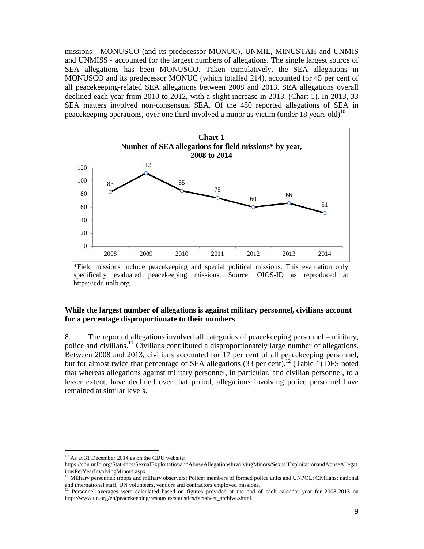missions - MONUSCO (and its predecessor MONUC), UNMIL, MINUSTAH and UNMIS and UNMISS - accounted for the largest numbers of allegations. The single largest source of SEA allegations has been MONUSCO. Taken cumulatively, the SEA allegations in MONUSCO and its predecessor MONUC (which totalled 214), accounted for 45 per cent of all peacekeeping-related SEA allegations between 2008 and 2013. SEA allegations overall declined each year from 2010 to 2012, with a slight increase in 2013. (Chart 1). In 2013, 33 SEA matters involved non-consensual SEA. Of the 480 reported allegations of SEA in peacekeeping operations, over one third involved a minor as victim (under 18 years old)<sup>10</sup>



\*Field missions include peacekeeping and special political missions. This evaluation only specifically evaluated peacekeeping missions. Source: OIOS-ID as reproduced at https://cdu.unlb.org.

#### **While the largest number of allegations is against military personnel, civilians account for a percentage disproportionate to their numbers**

8. The reported allegations involved all categories of peacekeeping personnel – military, police and civilians.<sup>11</sup> Civilians contributed a disproportionately large number of allegations. Between 2008 and 2013, civilians accounted for 17 per cent of all peacekeeping personnel, but for almost twice that percentage of SEA allegations (33 per cent).<sup>12</sup> (Table 1) DFS noted that whereas allegations against military personnel, in particular, and civilian personnel, to a lesser extent, have declined over that period, allegations involving police personnel have remained at similar levels.

-

<sup>&</sup>lt;sup>10</sup> As at 31 December 2014 as on the CDU website:

https://cdu.unlb.org/Statistics/SexualExploitationandAbuseAllegationsInvolvingMinors/SexualExploitationandAbuseAllegat ionsPerYearInvolvingMinors.aspx.

<sup>&</sup>lt;sup>11</sup> Military personnel: troops and military observers; Police: members of formed police units and UNPOL; Civilians: national and international staff, UN volunteers, vendors and contractors employed missions.

<sup>&</sup>lt;sup>12</sup> Personnel averages were calculated based on figures provided at the end of each calendar year for 2008-2013 on http://www.un.org/en/peacekeeping/resources/statistics/factsheet\_archive.shtml.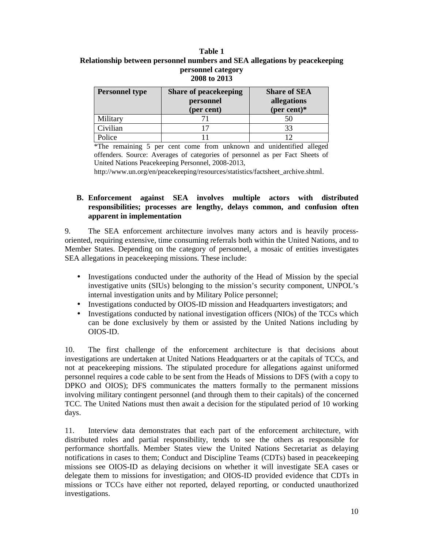#### **Table 1 Relationship between personnel numbers and SEA allegations by peacekeeping personnel category 2008 to 2013**

| (per cent) | <b>Share of SEA</b><br>allegations<br>(per cent) $*$ |  |  |
|------------|------------------------------------------------------|--|--|
|            | 50                                                   |  |  |
|            | 33                                                   |  |  |
|            |                                                      |  |  |
|            | personnel<br>$\sim$                                  |  |  |

\*The remaining 5 per cent come from unknown and unidentified alleged offenders. Source: Averages of categories of personnel as per Fact Sheets of United Nations Peacekeeping Personnel, 2008-2013,

http://www.un.org/en/peacekeeping/resources/statistics/factsheet\_archive.shtml.

#### **B. Enforcement against SEA involves multiple actors with distributed responsibilities; processes are lengthy, delays common, and confusion often apparent in implementation**

9. The SEA enforcement architecture involves many actors and is heavily processoriented, requiring extensive, time consuming referrals both within the United Nations, and to Member States. Depending on the category of personnel, a mosaic of entities investigates SEA allegations in peacekeeping missions. These include:

- Investigations conducted under the authority of the Head of Mission by the special investigative units (SIUs) belonging to the mission's security component, UNPOL's internal investigation units and by Military Police personnel;
- Investigations conducted by OIOS-ID mission and Headquarters investigators; and
- Investigations conducted by national investigation officers (NIOs) of the TCCs which can be done exclusively by them or assisted by the United Nations including by OIOS-ID.

10. The first challenge of the enforcement architecture is that decisions about investigations are undertaken at United Nations Headquarters or at the capitals of TCCs, and not at peacekeeping missions. The stipulated procedure for allegations against uniformed personnel requires a code cable to be sent from the Heads of Missions to DFS (with a copy to DPKO and OIOS); DFS communicates the matters formally to the permanent missions involving military contingent personnel (and through them to their capitals) of the concerned TCC. The United Nations must then await a decision for the stipulated period of 10 working days.

11. Interview data demonstrates that each part of the enforcement architecture, with distributed roles and partial responsibility, tends to see the others as responsible for performance shortfalls. Member States view the United Nations Secretariat as delaying notifications in cases to them; Conduct and Discipline Teams (CDTs) based in peacekeeping missions see OIOS-ID as delaying decisions on whether it will investigate SEA cases or delegate them to missions for investigation; and OIOS-ID provided evidence that CDTs in missions or TCCs have either not reported, delayed reporting, or conducted unauthorized investigations.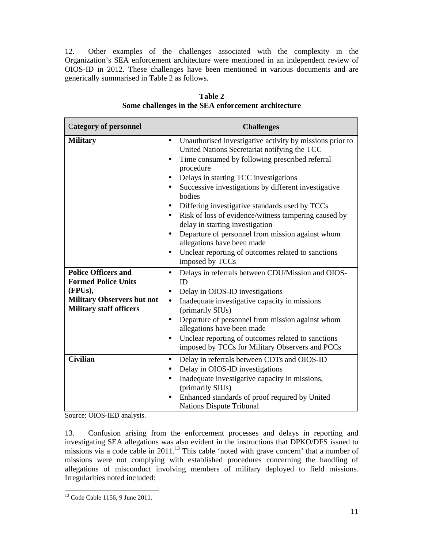12. Other examples of the challenges associated with the complexity in the Organization's SEA enforcement architecture were mentioned in an independent review of OIOS-ID in 2012. These challenges have been mentioned in various documents and are generically summarised in Table 2 as follows.

| <b>Category of personnel</b>                                                                                                               | <b>Challenges</b>                                                                                                                                                                                                                                                                                                                                                                                                                                                                                                                                                                                                         |
|--------------------------------------------------------------------------------------------------------------------------------------------|---------------------------------------------------------------------------------------------------------------------------------------------------------------------------------------------------------------------------------------------------------------------------------------------------------------------------------------------------------------------------------------------------------------------------------------------------------------------------------------------------------------------------------------------------------------------------------------------------------------------------|
| <b>Military</b>                                                                                                                            | Unauthorised investigative activity by missions prior to<br>$\bullet$<br>United Nations Secretariat notifying the TCC<br>Time consumed by following prescribed referral<br>$\bullet$<br>procedure<br>Delays in starting TCC investigations<br>Successive investigations by different investigative<br>bodies<br>Differing investigative standards used by TCCs<br>Risk of loss of evidence/witness tampering caused by<br>delay in starting investigation<br>Departure of personnel from mission against whom<br>allegations have been made<br>Unclear reporting of outcomes related to sanctions<br>٠<br>imposed by TCCs |
| <b>Police Officers and</b><br><b>Formed Police Units</b><br>(FPUs),<br><b>Military Observers but not</b><br><b>Military staff officers</b> | Delays in referrals between CDU/Mission and OIOS-<br>$\bullet$<br>ID<br>Delay in OIOS-ID investigations<br>$\bullet$<br>Inadequate investigative capacity in missions<br>$\bullet$<br>(primarily SIUs)<br>Departure of personnel from mission against whom<br>$\bullet$<br>allegations have been made<br>Unclear reporting of outcomes related to sanctions<br>$\bullet$<br>imposed by TCCs for Military Observers and PCCs                                                                                                                                                                                               |
| <b>Civilian</b>                                                                                                                            | Delay in referrals between CDTs and OIOS-ID<br>$\bullet$<br>Delay in OIOS-ID investigations<br>Inadequate investigative capacity in missions,<br>(primarily SIUs)<br>Enhanced standards of proof required by United<br><b>Nations Dispute Tribunal</b>                                                                                                                                                                                                                                                                                                                                                                    |

**Table 2 Some challenges in the SEA enforcement architecture**

Source: OIOS-IED analysis.

13. Confusion arising from the enforcement processes and delays in reporting and investigating SEA allegations was also evident in the instructions that DPKO/DFS issued to missions via a code cable in 2011.<sup>13</sup> This cable 'noted with grave concern' that a number of missions were not complying with established procedures concerning the handling of allegations of misconduct involving members of military deployed to field missions. Irregularities noted included:

<sup>-</sup><sup>13</sup> Code Cable 1156, 9 June 2011.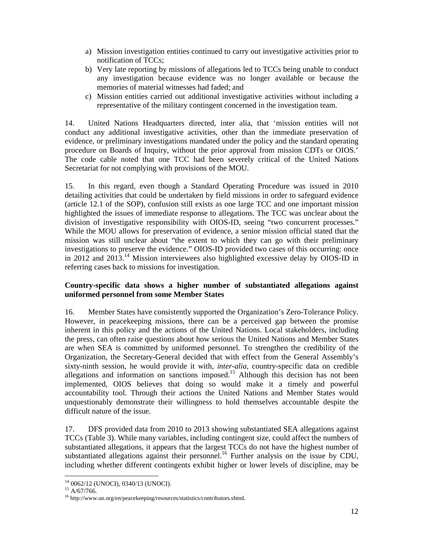- a) Mission investigation entities continued to carry out investigative activities prior to notification of TCCs;
- b) Very late reporting by missions of allegations led to TCCs being unable to conduct any investigation because evidence was no longer available or because the memories of material witnesses had faded; and
- c) Mission entities carried out additional investigative activities without including a representative of the military contingent concerned in the investigation team.

14. United Nations Headquarters directed, inter alia, that 'mission entities will not conduct any additional investigative activities, other than the immediate preservation of evidence, or preliminary investigations mandated under the policy and the standard operating procedure on Boards of Inquiry, without the prior approval from mission CDTs or OIOS.' The code cable noted that one TCC had been severely critical of the United Nations Secretariat for not complying with provisions of the MOU.

15. In this regard, even though a Standard Operating Procedure was issued in 2010 detailing activities that could be undertaken by field missions in order to safeguard evidence (article 12.1 of the SOP), confusion still exists as one large TCC and one important mission highlighted the issues of immediate response to allegations. The TCC was unclear about the division of investigative responsibility with OIOS-ID, seeing "two concurrent processes." While the MOU allows for preservation of evidence, a senior mission official stated that the mission was still unclear about "the extent to which they can go with their preliminary investigations to preserve the evidence." OIOS-ID provided two cases of this occurring: once in 2012 and 2013.<sup>14</sup> Mission interviewees also highlighted excessive delay by OIOS-ID in referring cases back to missions for investigation.

#### **Country-specific data shows a higher number of substantiated allegations against uniformed personnel from some Member States**

16. Member States have consistently supported the Organization's Zero-Tolerance Policy. However, in peacekeeping missions, there can be a perceived gap between the promise inherent in this policy and the actions of the United Nations. Local stakeholders, including the press, can often raise questions about how serious the United Nations and Member States are when SEA is committed by uniformed personnel. To strengthen the credibility of the Organization, the Secretary-General decided that with effect from the General Assembly's sixty-ninth session, he would provide it with, *inter-alia,* country-specific data on credible allegations and information on sanctions imposed.<sup>15</sup> Although this decision has not been implemented, OIOS believes that doing so would make it a timely and powerful accountability tool. Through their actions the United Nations and Member States would unquestionably demonstrate their willingness to hold themselves accountable despite the difficult nature of the issue.

17. DFS provided data from 2010 to 2013 showing substantiated SEA allegations against TCCs (Table 3). While many variables, including contingent size, could affect the numbers of substantiated allegations, it appears that the largest TCCs do not have the highest number of substantiated allegations against their personnel.<sup>16</sup> Further analysis on the issue by CDU, including whether different contingents exhibit higher or lower levels of discipline, may be

<sup>-</sup><sup>14</sup> 0062/12 (UNOCI), 0340/13 (UNOCI).

 $^{15}$  A/67/766.

<sup>16</sup> http://www.un.org/en/peacekeeping/resources/statistics/contributors.shtml.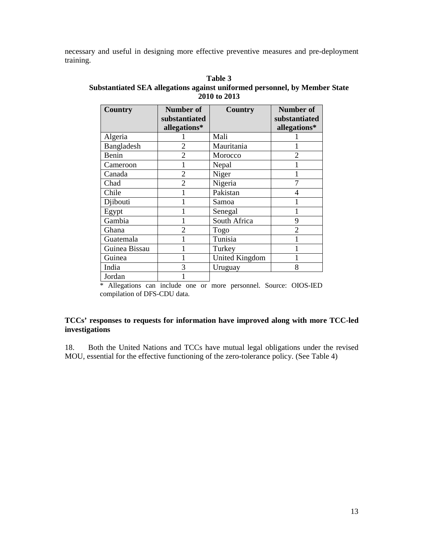necessary and useful in designing more effective preventive measures and pre-deployment training.

| Country       | Number of      | <b>Country</b>        | Number of      |
|---------------|----------------|-----------------------|----------------|
|               | substantiated  |                       | substantiated  |
|               | allegations*   |                       | allegations*   |
| Algeria       |                | Mali                  |                |
| Bangladesh    | 2              | Mauritania            |                |
| Benin         | $\overline{2}$ | Morocco               | $\overline{2}$ |
| Cameroon      |                | Nepal                 |                |
| Canada        | $\overline{2}$ | Niger                 |                |
| Chad          | $\overline{2}$ | Nigeria               |                |
| Chile         |                | Pakistan              | 4              |
| Djibouti      |                | Samoa                 |                |
| Egypt         |                | Senegal               |                |
| Gambia        |                | South Africa          | 9              |
| Ghana         | $\mathfrak{D}$ | Togo                  |                |
| Guatemala     |                | Tunisia               |                |
| Guinea Bissau |                | Turkey                |                |
| Guinea        |                | <b>United Kingdom</b> |                |
| India         | 3              | Uruguay               | 8              |
| Jordan        |                |                       |                |

**Table 3 Substantiated SEA allegations against uniformed personnel, by Member State 2010 to 2013** 

\* Allegations can include one or more personnel. Source: OIOS-IED compilation of DFS-CDU data.

## **TCCs' responses to requests for information have improved along with more TCC-led investigations**

18. Both the United Nations and TCCs have mutual legal obligations under the revised MOU, essential for the effective functioning of the zero-tolerance policy. (See Table 4)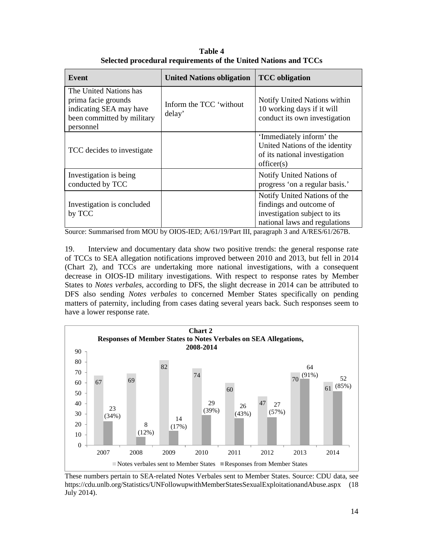**Table 4 Selected procedural requirements of the United Nations and TCCs** 

| <b>Event</b>                                                                                                        | <b>United Nations obligation</b>  | <b>TCC</b> obligation                                                                                                    |
|---------------------------------------------------------------------------------------------------------------------|-----------------------------------|--------------------------------------------------------------------------------------------------------------------------|
| The United Nations has<br>prima facie grounds<br>indicating SEA may have<br>been committed by military<br>personnel | Inform the TCC 'without<br>delay' | Notify United Nations within<br>10 working days if it will<br>conduct its own investigation                              |
| TCC decides to investigate                                                                                          |                                   | 'Immediately inform' the<br>United Nations of the identity<br>of its national investigation<br>officer(s)                |
| Investigation is being.<br>conducted by TCC                                                                         |                                   | Notify United Nations of<br>progress 'on a regular basis.'                                                               |
| Investigation is concluded<br>by TCC                                                                                |                                   | Notify United Nations of the<br>findings and outcome of<br>investigation subject to its<br>national laws and regulations |

Source: Summarised from MOU by OIOS-IED; A/61/19/Part III, paragraph 3 and A/RES/61/267B.

19. Interview and documentary data show two positive trends: the general response rate of TCCs to SEA allegation notifications improved between 2010 and 2013, but fell in 2014 (Chart 2), and TCCs are undertaking more national investigations, with a consequent decrease in OIOS-ID military investigations. With respect to response rates by Member States to *Notes verbales*, according to DFS, the slight decrease in 2014 can be attributed to DFS also sending *Notes verbales* to concerned Member States specifically on pending matters of paternity, including from cases dating several years back. Such responses seem to have a lower response rate.



These numbers pertain to SEA-related Notes Verbales sent to Member States. Source: CDU data, see https://cdu.unlb.org/Statistics/UNFollowupwithMemberStatesSexualExploitationandAbuse.aspx (18 July 2014).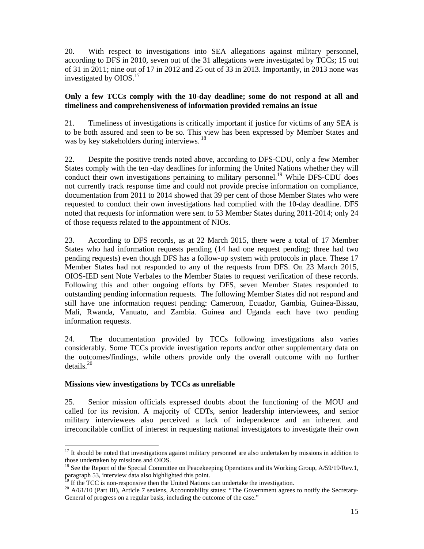20. With respect to investigations into SEA allegations against military personnel, according to DFS in 2010, seven out of the 31 allegations were investigated by TCCs; 15 out of 31 in 2011; nine out of 17 in 2012 and 25 out of 33 in 2013. Importantly, in 2013 none was investigated by OIOS.<sup>17</sup>

#### **Only a few TCCs comply with the 10-day deadline; some do not respond at all and timeliness and comprehensiveness of information provided remains an issue**

21. Timeliness of investigations is critically important if justice for victims of any SEA is to be both assured and seen to be so. This view has been expressed by Member States and was by key stakeholders during interviews.<sup>18</sup>

22. Despite the positive trends noted above, according to DFS-CDU, only a few Member States comply with the ten -day deadlines for informing the United Nations whether they will conduct their own investigations pertaining to military personnel.<sup>19</sup> While DFS-CDU does not currently track response time and could not provide precise information on compliance, documentation from 2011 to 2014 showed that 39 per cent of those Member States who were requested to conduct their own investigations had complied with the 10-day deadline. DFS noted that requests for information were sent to 53 Member States during 2011-2014; only 24 of those requests related to the appointment of NIOs.

23. According to DFS records, as at 22 March 2015, there were a total of 17 Member States who had information requests pending (14 had one request pending; three had two pending requests) even though DFS has a follow-up system with protocols in place. These 17 Member States had not responded to any of the requests from DFS. On 23 March 2015, OIOS-IED sent Note Verbales to the Member States to request verification of these records. Following this and other ongoing efforts by DFS, seven Member States responded to outstanding pending information requests. The following Member States did not respond and still have one information request pending: Cameroon, Ecuador, Gambia, Guinea-Bissau, Mali, Rwanda, Vanuatu, and Zambia. Guinea and Uganda each have two pending information requests.

24. The documentation provided by TCCs following investigations also varies considerably. Some TCCs provide investigation reports and/or other supplementary data on the outcomes/findings, while others provide only the overall outcome with no further details. $^{20}$ 

#### **Missions view investigations by TCCs as unreliable**

25. Senior mission officials expressed doubts about the functioning of the MOU and called for its revision. A majority of CDTs, senior leadership interviewees, and senior military interviewees also perceived a lack of independence and an inherent and irreconcilable conflict of interest in requesting national investigators to investigate their own

<sup>-</sup><sup>17</sup> It should be noted that investigations against military personnel are also undertaken by missions in addition to those undertaken by missions and OIOS.

<sup>&</sup>lt;sup>18</sup> See the Report of the Special Committee on Peacekeeping Operations and its Working Group, A/59/19/Rev.1, paragraph 53, interview data also highlighted this point.

If the TCC is non-responsive then the United Nations can undertake the investigation.

<sup>20</sup> A/61/10 (Part III), Article 7 sexiens, Accountability states: "The Government agrees to notify the Secretary-General of progress on a regular basis, including the outcome of the case."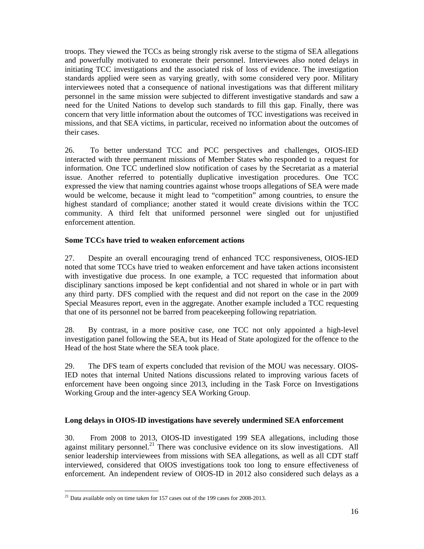troops. They viewed the TCCs as being strongly risk averse to the stigma of SEA allegations and powerfully motivated to exonerate their personnel. Interviewees also noted delays in initiating TCC investigations and the associated risk of loss of evidence. The investigation standards applied were seen as varying greatly, with some considered very poor. Military interviewees noted that a consequence of national investigations was that different military personnel in the same mission were subjected to different investigative standards and saw a need for the United Nations to develop such standards to fill this gap. Finally, there was concern that very little information about the outcomes of TCC investigations was received in missions, and that SEA victims, in particular, received no information about the outcomes of their cases.

26. To better understand TCC and PCC perspectives and challenges, OIOS-IED interacted with three permanent missions of Member States who responded to a request for information. One TCC underlined slow notification of cases by the Secretariat as a material issue. Another referred to potentially duplicative investigation procedures. One TCC expressed the view that naming countries against whose troops allegations of SEA were made would be welcome, because it might lead to "competition" among countries, to ensure the highest standard of compliance; another stated it would create divisions within the TCC community. A third felt that uniformed personnel were singled out for unjustified enforcement attention.

# **Some TCCs have tried to weaken enforcement actions**

27. Despite an overall encouraging trend of enhanced TCC responsiveness, OIOS-IED noted that some TCCs have tried to weaken enforcement and have taken actions inconsistent with investigative due process. In one example, a TCC requested that information about disciplinary sanctions imposed be kept confidential and not shared in whole or in part with any third party. DFS complied with the request and did not report on the case in the 2009 Special Measures report, even in the aggregate. Another example included a TCC requesting that one of its personnel not be barred from peacekeeping following repatriation.

28. By contrast, in a more positive case, one TCC not only appointed a high-level investigation panel following the SEA, but its Head of State apologized for the offence to the Head of the host State where the SEA took place.

29. The DFS team of experts concluded that revision of the MOU was necessary. OIOS-IED notes that internal United Nations discussions related to improving various facets of enforcement have been ongoing since 2013, including in the Task Force on Investigations Working Group and the inter-agency SEA Working Group.

# **Long delays in OIOS-ID investigations have severely undermined SEA enforcement**

30. From 2008 to 2013, OIOS-ID investigated 199 SEA allegations, including those against military personnel.<sup>21</sup> There was conclusive evidence on its slow investigations. All senior leadership interviewees from missions with SEA allegations, as well as all CDT staff interviewed, considered that OIOS investigations took too long to ensure effectiveness of enforcement. An independent review of OIOS-ID in 2012 also considered such delays as a

<sup>-</sup> $21$  Data available only on time taken for 157 cases out of the 199 cases for 2008-2013.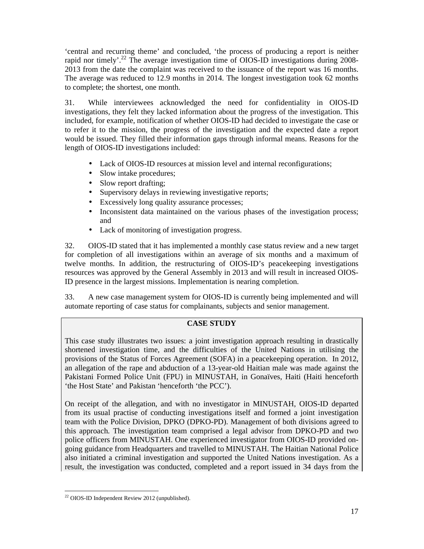'central and recurring theme' and concluded, 'the process of producing a report is neither rapid nor timely'.<sup>22</sup> The average investigation time of OIOS-ID investigations during 2008-2013 from the date the complaint was received to the issuance of the report was 16 months. The average was reduced to 12.9 months in 2014. The longest investigation took 62 months to complete; the shortest, one month.

31. While interviewees acknowledged the need for confidentiality in OIOS-ID investigations, they felt they lacked information about the progress of the investigation. This included, for example, notification of whether OIOS-ID had decided to investigate the case or to refer it to the mission, the progress of the investigation and the expected date a report would be issued. They filled their information gaps through informal means. Reasons for the length of OIOS-ID investigations included:

- Lack of OIOS-ID resources at mission level and internal reconfigurations;
- Slow intake procedures;
- Slow report drafting;
- Supervisory delays in reviewing investigative reports;
- Excessively long quality assurance processes;
- Inconsistent data maintained on the various phases of the investigation process; and
- Lack of monitoring of investigation progress.

32. OIOS-ID stated that it has implemented a monthly case status review and a new target for completion of all investigations within an average of six months and a maximum of twelve months. In addition, the restructuring of OIOS-ID's peacekeeping investigations resources was approved by the General Assembly in 2013 and will result in increased OIOS-ID presence in the largest missions. Implementation is nearing completion.

33. A new case management system for OIOS-ID is currently being implemented and will automate reporting of case status for complainants, subjects and senior management.

# **CASE STUDY**

This case study illustrates two issues: a joint investigation approach resulting in drastically shortened investigation time, and the difficulties of the United Nations in utilising the provisions of the Status of Forces Agreement (SOFA) in a peacekeeping operation. In 2012, an allegation of the rape and abduction of a 13-year-old Haitian male was made against the Pakistani Formed Police Unit (FPU) in MINUSTAH, in Gonaïves, Haiti (Haiti henceforth 'the Host State' and Pakistan 'henceforth 'the PCC').

On receipt of the allegation, and with no investigator in MINUSTAH, OIOS-ID departed from its usual practise of conducting investigations itself and formed a joint investigation team with the Police Division, DPKO (DPKO-PD). Management of both divisions agreed to this approach. The investigation team comprised a legal advisor from DPKO-PD and two police officers from MINUSTAH. One experienced investigator from OIOS-ID provided ongoing guidance from Headquarters and travelled to MINUSTAH. The Haitian National Police also initiated a criminal investigation and supported the United Nations investigation. As a result, the investigation was conducted, completed and a report issued in 34 days from the

<sup>-</sup><sup>22</sup> OIOS-ID Independent Review 2012 (unpublished).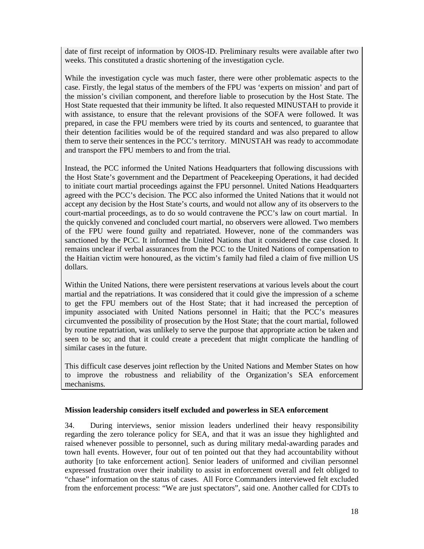date of first receipt of information by OIOS-ID. Preliminary results were available after two weeks. This constituted a drastic shortening of the investigation cycle.

While the investigation cycle was much faster, there were other problematic aspects to the case. Firstly, the legal status of the members of the FPU was 'experts on mission' and part of the mission's civilian component, and therefore liable to prosecution by the Host State. The Host State requested that their immunity be lifted. It also requested MINUSTAH to provide it with assistance, to ensure that the relevant provisions of the SOFA were followed. It was prepared, in case the FPU members were tried by its courts and sentenced, to guarantee that their detention facilities would be of the required standard and was also prepared to allow them to serve their sentences in the PCC's territory. MINUSTAH was ready to accommodate and transport the FPU members to and from the trial.

Instead, the PCC informed the United Nations Headquarters that following discussions with the Host State's government and the Department of Peacekeeping Operations, it had decided to initiate court martial proceedings against the FPU personnel. United Nations Headquarters agreed with the PCC's decision. The PCC also informed the United Nations that it would not accept any decision by the Host State's courts, and would not allow any of its observers to the court-martial proceedings, as to do so would contravene the PCC's law on court martial. In the quickly convened and concluded court martial, no observers were allowed. Two members of the FPU were found guilty and repatriated. However, none of the commanders was sanctioned by the PCC. It informed the United Nations that it considered the case closed. It remains unclear if verbal assurances from the PCC to the United Nations of compensation to the Haitian victim were honoured, as the victim's family had filed a claim of five million US dollars.

Within the United Nations, there were persistent reservations at various levels about the court martial and the repatriations. It was considered that it could give the impression of a scheme to get the FPU members out of the Host State; that it had increased the perception of impunity associated with United Nations personnel in Haiti; that the PCC's measures circumvented the possibility of prosecution by the Host State; that the court martial, followed by routine repatriation, was unlikely to serve the purpose that appropriate action be taken and seen to be so; and that it could create a precedent that might complicate the handling of similar cases in the future.

This difficult case deserves joint reflection by the United Nations and Member States on how to improve the robustness and reliability of the Organization's SEA enforcement mechanisms.

#### **Mission leadership considers itself excluded and powerless in SEA enforcement**

34. During interviews, senior mission leaders underlined their heavy responsibility regarding the zero tolerance policy for SEA, and that it was an issue they highlighted and raised whenever possible to personnel, such as during military medal-awarding parades and town hall events. However, four out of ten pointed out that they had accountability without authority [to take enforcement action]. Senior leaders of uniformed and civilian personnel expressed frustration over their inability to assist in enforcement overall and felt obliged to "chase" information on the status of cases. All Force Commanders interviewed felt excluded from the enforcement process: "We are just spectators", said one. Another called for CDTs to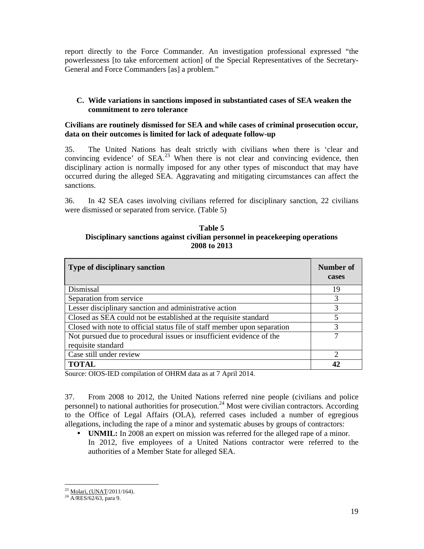report directly to the Force Commander. An investigation professional expressed "the powerlessness [to take enforcement action] of the Special Representatives of the Secretary-General and Force Commanders [as] a problem."

# **C. Wide variations in sanctions imposed in substantiated cases of SEA weaken the commitment to zero tolerance**

#### **Civilians are routinely dismissed for SEA and while cases of criminal prosecution occur, data on their outcomes is limited for lack of adequate follow-up**

35. The United Nations has dealt strictly with civilians when there is 'clear and convincing evidence' of  $SEA<sup>23</sup>$  When there is not clear and convincing evidence, then disciplinary action is normally imposed for any other types of misconduct that may have occurred during the alleged SEA. Aggravating and mitigating circumstances can affect the sanctions.

36. In 42 SEA cases involving civilians referred for disciplinary sanction, 22 civilians were dismissed or separated from service. (Table 5)

**Table 5 Disciplinary sanctions against civilian personnel in peacekeeping operations 2008 to 2013** 

| <b>Type of disciplinary sanction</b>                                                       | Number of<br>cases |
|--------------------------------------------------------------------------------------------|--------------------|
| Dismissal                                                                                  | 19                 |
| Separation from service                                                                    |                    |
| Lesser disciplinary sanction and administrative action                                     | 3                  |
| Closed as SEA could not be established at the requisite standard                           | 5                  |
| Closed with note to official status file of staff member upon separation                   | 3                  |
| Not pursued due to procedural issues or insufficient evidence of the<br>requisite standard |                    |
| Case still under review                                                                    | റ                  |
| <b>TOTAL</b>                                                                               | 42                 |

Source: OIOS-IED compilation of OHRM data as at 7 April 2014.

37. From 2008 to 2012, the United Nations referred nine people (civilians and police personnel) to national authorities for prosecution.<sup>24</sup> Most were civilian contractors. According to the Office of Legal Affairs (OLA), referred cases included a number of egregious allegations, including the rape of a minor and systematic abuses by groups of contractors:

• **UNMIL:** In 2008 an expert on mission was referred for the alleged rape of a minor. In 2012, five employees of a United Nations contractor were referred to the authorities of a Member State for alleged SEA.

-

<sup>&</sup>lt;sup>23</sup> Molari, (UNAT/2011/164).

<sup>&</sup>lt;sup>24</sup> A/RES/62/63, para 9.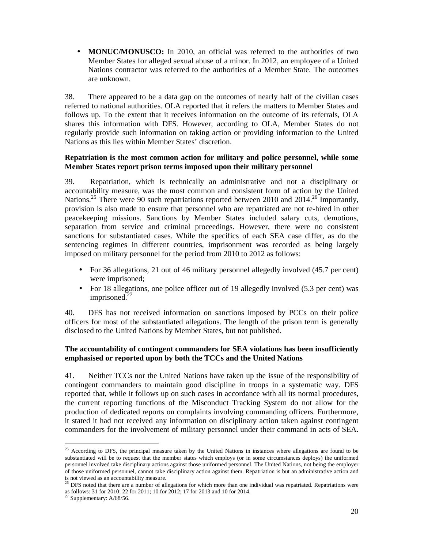• **MONUC/MONUSCO:** In 2010, an official was referred to the authorities of two Member States for alleged sexual abuse of a minor. In 2012, an employee of a United Nations contractor was referred to the authorities of a Member State. The outcomes are unknown.

38. There appeared to be a data gap on the outcomes of nearly half of the civilian cases referred to national authorities. OLA reported that it refers the matters to Member States and follows up. To the extent that it receives information on the outcome of its referrals, OLA shares this information with DFS. However, according to OLA, Member States do not regularly provide such information on taking action or providing information to the United Nations as this lies within Member States' discretion.

#### **Repatriation is the most common action for military and police personnel, while some Member States report prison terms imposed upon their military personnel**

39. Repatriation, which is technically an administrative and not a disciplinary or accountability measure, was the most common and consistent form of action by the United Nations.<sup>25</sup> There were 90 such repatriations reported between 2010 and 2014.<sup>26</sup> Importantly, provision is also made to ensure that personnel who are repatriated are not re-hired in other peacekeeping missions. Sanctions by Member States included salary cuts, demotions, separation from service and criminal proceedings. However, there were no consistent sanctions for substantiated cases. While the specifics of each SEA case differ, as do the sentencing regimes in different countries, imprisonment was recorded as being largely imposed on military personnel for the period from 2010 to 2012 as follows:

- For 36 allegations, 21 out of 46 military personnel allegedly involved (45.7 per cent) were imprisoned;
- For 18 allegations, one police officer out of 19 allegedly involved (5.3 per cent) was imprisoned.<sup>27</sup>

40. DFS has not received information on sanctions imposed by PCCs on their police officers for most of the substantiated allegations. The length of the prison term is generally disclosed to the United Nations by Member States, but not published.

# **The accountability of contingent commanders for SEA violations has been insufficiently emphasised or reported upon by both the TCCs and the United Nations**

41. Neither TCCs nor the United Nations have taken up the issue of the responsibility of contingent commanders to maintain good discipline in troops in a systematic way. DFS reported that, while it follows up on such cases in accordance with all its normal procedures, the current reporting functions of the Misconduct Tracking System do not allow for the production of dedicated reports on complaints involving commanding officers. Furthermore, it stated it had not received any information on disciplinary action taken against contingent commanders for the involvement of military personnel under their command in acts of SEA.

<sup>-</sup> $25$  According to DFS, the principal measure taken by the United Nations in instances where allegations are found to be substantiated will be to request that the member states which employs (or in some circumstances deploys) the uniformed personnel involved take disciplinary actions against those uniformed personnel. The United Nations, not being the employer of those uniformed personnel, cannot take disciplinary action against them. Repatriation is but an administrative action and is not viewed as an accountability measure.

<sup>&</sup>lt;sup>26</sup> DFS noted that there are a number of allegations for which more than one individual was repatriated. Repatriations were as follows: 31 for 2010; 22 for 2011; 10 for 2012; 17 for 2013 and 10 for 2014.

 $27$  Supplementary: A/68/56.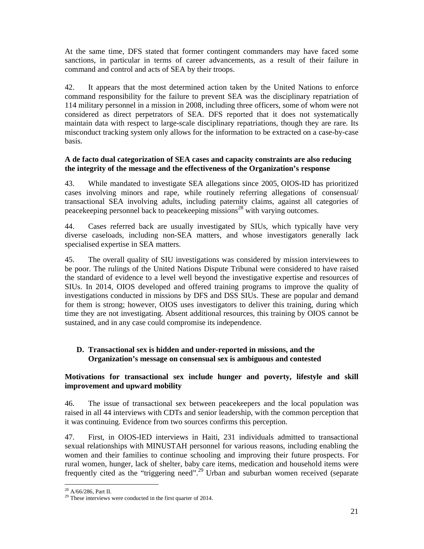At the same time, DFS stated that former contingent commanders may have faced some sanctions, in particular in terms of career advancements, as a result of their failure in command and control and acts of SEA by their troops.

42. It appears that the most determined action taken by the United Nations to enforce command responsibility for the failure to prevent SEA was the disciplinary repatriation of 114 military personnel in a mission in 2008, including three officers, some of whom were not considered as direct perpetrators of SEA. DFS reported that it does not systematically maintain data with respect to large-scale disciplinary repatriations, though they are rare. Its misconduct tracking system only allows for the information to be extracted on a case-by-case basis.

#### **A de facto dual categorization of SEA cases and capacity constraints are also reducing the integrity of the message and the effectiveness of the Organization's response**

43. While mandated to investigate SEA allegations since 2005, OIOS-ID has prioritized cases involving minors and rape, while routinely referring allegations of consensual/ transactional SEA involving adults, including paternity claims, against all categories of peacekeeping personnel back to peacekeeping missions<sup>28</sup> with varying outcomes.

44. Cases referred back are usually investigated by SIUs, which typically have very diverse caseloads, including non-SEA matters, and whose investigators generally lack specialised expertise in SEA matters.

45. The overall quality of SIU investigations was considered by mission interviewees to be poor. The rulings of the United Nations Dispute Tribunal were considered to have raised the standard of evidence to a level well beyond the investigative expertise and resources of SIUs. In 2014, OIOS developed and offered training programs to improve the quality of investigations conducted in missions by DFS and DSS SIUs. These are popular and demand for them is strong; however, OIOS uses investigators to deliver this training, during which time they are not investigating. Absent additional resources, this training by OIOS cannot be sustained, and in any case could compromise its independence.

# **D. Transactional sex is hidden and under-reported in missions, and the Organization's message on consensual sex is ambiguous and contested**

#### **Motivations for transactional sex include hunger and poverty, lifestyle and skill improvement and upward mobility**

46. The issue of transactional sex between peacekeepers and the local population was raised in all 44 interviews with CDTs and senior leadership, with the common perception that it was continuing. Evidence from two sources confirms this perception.

47. First, in OIOS-IED interviews in Haiti, 231 individuals admitted to transactional sexual relationships with MINUSTAH personnel for various reasons, including enabling the women and their families to continue schooling and improving their future prospects. For rural women, hunger, lack of shelter, baby care items, medication and household items were frequently cited as the "triggering need".<sup>29</sup>Urban and suburban women received (separate

<sup>-</sup> $^{28}$  A/66/286, Part II.

<sup>&</sup>lt;sup>29</sup> These interviews were conducted in the first quarter of 2014.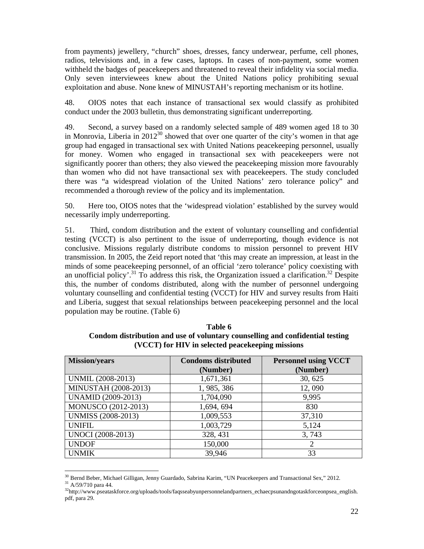from payments) jewellery, "church" shoes, dresses, fancy underwear, perfume, cell phones, radios, televisions and, in a few cases, laptops. In cases of non-payment, some women withheld the badges of peacekeepers and threatened to reveal their infidelity via social media. Only seven interviewees knew about the United Nations policy prohibiting sexual exploitation and abuse. None knew of MINUSTAH's reporting mechanism or its hotline.

48. OIOS notes that each instance of transactional sex would classify as prohibited conduct under the 2003 bulletin, thus demonstrating significant underreporting.

49. Second, a survey based on a randomly selected sample of 489 women aged 18 to 30 in Monrovia, Liberia in  $2012^{30}$  showed that over one quarter of the city's women in that age group had engaged in transactional sex with United Nations peacekeeping personnel, usually for money. Women who engaged in transactional sex with peacekeepers were not significantly poorer than others; they also viewed the peacekeeping mission more favourably than women who did not have transactional sex with peacekeepers. The study concluded there was "a widespread violation of the United Nations' zero tolerance policy" and recommended a thorough review of the policy and its implementation.

50. Here too, OIOS notes that the 'widespread violation' established by the survey would necessarily imply underreporting.

51. Third, condom distribution and the extent of voluntary counselling and confidential testing (VCCT) is also pertinent to the issue of underreporting, though evidence is not conclusive. Missions regularly distribute condoms to mission personnel to prevent HIV transmission. In 2005, the Zeid report noted that 'this may create an impression, at least in the minds of some peacekeeping personnel, of an official 'zero tolerance' policy coexisting with an unofficial policy'.<sup>31</sup> To address this risk, the Organization issued a clarification.<sup>32</sup> Despite this, the number of condoms distributed, along with the number of personnel undergoing voluntary counselling and confidential testing (VCCT) for HIV and survey results from Haiti and Liberia, suggest that sexual relationships between peacekeeping personnel and the local population may be routine. (Table 6)

| <b>Mission/years</b>      | <b>Condoms distributed</b><br>(Number) | <b>Personnel using VCCT</b><br>(Number) |
|---------------------------|----------------------------------------|-----------------------------------------|
| UNMIL (2008-2013)         | 1,671,361                              | 30, 625                                 |
| MINUSTAH (2008-2013)      | 1, 985, 386                            | 12,090                                  |
| <b>UNAMID</b> (2009-2013) | 1,704,090                              | 9,995                                   |
| MONUSCO (2012-2013)       | 1,694, 694                             | 830                                     |
| <b>UNMISS (2008-2013)</b> | 1,009,553                              | 37,310                                  |
| <b>UNIFIL</b>             | 1,003,729                              | 5,124                                   |
| <b>UNOCI</b> (2008-2013)  | 328, 431                               | 3,743                                   |
| <b>UNDOF</b>              | 150,000                                | 2                                       |
| <b>UNMIK</b>              | 39,946                                 | 33                                      |

**Table 6 Condom distribution and use of voluntary counselling and confidential testing (VCCT) for HIV in selected peacekeeping missions** 

-

<sup>&</sup>lt;sup>30</sup> Bernd Beber, Michael Gilligan, Jenny Guardado, Sabrina Karim, "UN Peacekeepers and Transactional Sex," 2012.

<sup>31</sup> A/59/710 para 44.

<sup>32</sup>http://www.pseataskforce.org/uploads/tools/faqsseabyunpersonnelandpartners\_echaecpsunandngotaskforceonpsea\_english. pdf, para 29.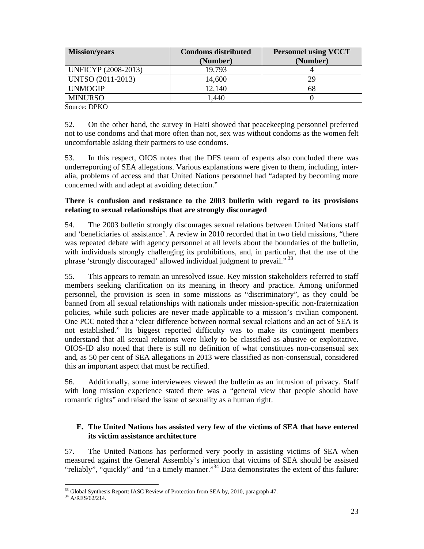| <b>Mission/years</b> | <b>Condoms distributed</b><br>(Number) | <b>Personnel using VCCT</b><br>(Number) |
|----------------------|----------------------------------------|-----------------------------------------|
| UNFICYP (2008-2013)  | 19,793                                 |                                         |
| UNTSO (2011-2013)    | 14,600                                 | 29                                      |
| <b>UNMOGIP</b>       | 12,140                                 | 68                                      |
| <b>MINURSO</b>       | ,440                                   |                                         |

Source: DPKO

52. On the other hand, the survey in Haiti showed that peacekeeping personnel preferred not to use condoms and that more often than not, sex was without condoms as the women felt uncomfortable asking their partners to use condoms.

53. In this respect, OIOS notes that the DFS team of experts also concluded there was underreporting of SEA allegations. Various explanations were given to them, including, interalia, problems of access and that United Nations personnel had "adapted by becoming more concerned with and adept at avoiding detection."

## **There is confusion and resistance to the 2003 bulletin with regard to its provisions relating to sexual relationships that are strongly discouraged**

54. The 2003 bulletin strongly discourages sexual relations between United Nations staff and 'beneficiaries of assistance'. A review in 2010 recorded that in two field missions, "there was repeated debate with agency personnel at all levels about the boundaries of the bulletin, with individuals strongly challenging its prohibitions, and, in particular, that the use of the phrase 'strongly discouraged' allowed individual judgment to prevail."<sup>33</sup>

55. This appears to remain an unresolved issue. Key mission stakeholders referred to staff members seeking clarification on its meaning in theory and practice. Among uniformed personnel, the provision is seen in some missions as "discriminatory", as they could be banned from all sexual relationships with nationals under mission-specific non-fraternization policies, while such policies are never made applicable to a mission's civilian component. One PCC noted that a "clear difference between normal sexual relations and an act of SEA is not established." Its biggest reported difficulty was to make its contingent members understand that all sexual relations were likely to be classified as abusive or exploitative. OIOS-ID also noted that there is still no definition of what constitutes non-consensual sex and, as 50 per cent of SEA allegations in 2013 were classified as non-consensual, considered this an important aspect that must be rectified.

56. Additionally, some interviewees viewed the bulletin as an intrusion of privacy. Staff with long mission experience stated there was a "general view that people should have romantic rights" and raised the issue of sexuality as a human right.

# **E. The United Nations has assisted very few of the victims of SEA that have entered its victim assistance architecture**

57. The United Nations has performed very poorly in assisting victims of SEA when measured against the General Assembly's intention that victims of SEA should be assisted "reliably", "quickly" and "in a timely manner."<sup>34</sup> Data demonstrates the extent of this failure:

-

<sup>&</sup>lt;sup>33</sup> Global Synthesis Report: IASC Review of Protection from SEA by, 2010, paragraph 47.

<sup>&</sup>lt;sup>34</sup> A/RES/62/214.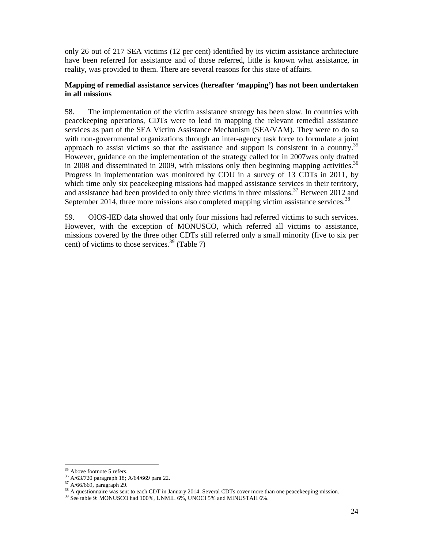only 26 out of 217 SEA victims (12 per cent) identified by its victim assistance architecture have been referred for assistance and of those referred, little is known what assistance, in reality, was provided to them. There are several reasons for this state of affairs.

#### **Mapping of remedial assistance services (hereafter 'mapping') has not been undertaken in all missions**

58. The implementation of the victim assistance strategy has been slow. In countries with peacekeeping operations, CDTs were to lead in mapping the relevant remedial assistance services as part of the SEA Victim Assistance Mechanism (SEA/VAM). They were to do so with non-governmental organizations through an inter-agency task force to formulate a joint approach to assist victims so that the assistance and support is consistent in a country.<sup>35</sup> However, guidance on the implementation of the strategy called for in 2007was only drafted in 2008 and disseminated in 2009, with missions only then beginning mapping activities.<sup>36</sup> Progress in implementation was monitored by CDU in a survey of 13 CDTs in 2011, by which time only six peacekeeping missions had mapped assistance services in their territory, and assistance had been provided to only three victims in three missions.<sup>37</sup> Between 2012 and September 2014, three more missions also completed mapping victim assistance services.<sup>38</sup>

59. OIOS-IED data showed that only four missions had referred victims to such services. However, with the exception of MONUSCO, which referred all victims to assistance, missions covered by the three other CDTs still referred only a small minority (five to six per cent) of victims to those services.<sup>39</sup> (Table 7)

<sup>-</sup><sup>35</sup> Above footnote 5 refers.

<sup>36</sup> A/63/720 paragraph 18; A/64/669 para 22.

<sup>37</sup> A/66/669, paragraph 29.

<sup>&</sup>lt;sup>38</sup> A questionnaire was sent to each CDT in January 2014. Several CDTs cover more than one peacekeeping mission.

<sup>&</sup>lt;sup>39</sup> See table 9: MONUSCO had 100%, UNMIL 6%, UNOCI 5% and MINUSTAH 6%.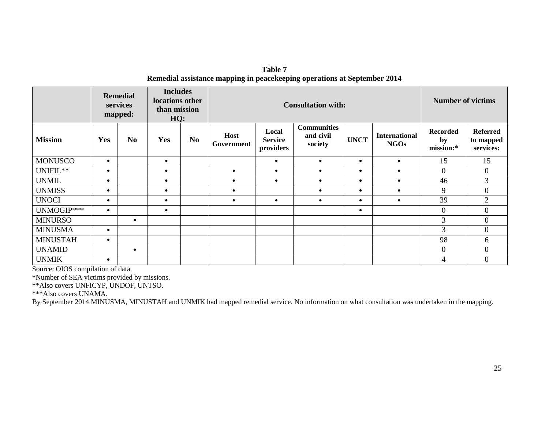**Table 7 Remedial assistance mapping in peacekeeping operations at September 2014** 

|                                      |                                                      | <b>Remedial</b><br>services<br>mapped: | <b>Includes</b><br>locations other<br>than mission<br>HQ: |                | <b>Consultation with:</b> |                                      |                                            | <b>Number of victims</b> |                                     |                                    |                                           |
|--------------------------------------|------------------------------------------------------|----------------------------------------|-----------------------------------------------------------|----------------|---------------------------|--------------------------------------|--------------------------------------------|--------------------------|-------------------------------------|------------------------------------|-------------------------------------------|
| <b>Mission</b>                       | Yes                                                  | N <sub>0</sub>                         | Yes                                                       | N <sub>0</sub> | <b>Host</b><br>Government | Local<br><b>Service</b><br>providers | <b>Communities</b><br>and civil<br>society | <b>UNCT</b>              | <b>International</b><br><b>NGOs</b> | <b>Recorded</b><br>by<br>mission:* | <b>Referred</b><br>to mapped<br>services: |
| <b>MONUSCO</b>                       | $\bullet$                                            |                                        | $\bullet$                                                 |                |                           | $\bullet$                            | $\bullet$                                  | $\bullet$                | $\bullet$                           | 15                                 | 15                                        |
| UNIFIL**                             | $\bullet$                                            |                                        | $\bullet$                                                 |                | $\bullet$                 | $\bullet$                            | $\bullet$                                  | $\bullet$                | $\bullet$                           | $\overline{0}$                     | $\overline{0}$                            |
| <b>UNMIL</b>                         | $\bullet$                                            |                                        | $\bullet$                                                 |                |                           | $\bullet$                            |                                            | $\bullet$                | $\bullet$                           | 46                                 | 3                                         |
| <b>UNMISS</b>                        | $\bullet$                                            |                                        | $\bullet$                                                 |                |                           |                                      |                                            | $\bullet$                | $\bullet$                           | 9                                  | $\mathbf{0}$                              |
| <b>UNOCI</b>                         | $\bullet$                                            |                                        | $\bullet$                                                 |                |                           | $\bullet$                            | $\bullet$                                  | $\bullet$                | $\bullet$                           | 39                                 | $\overline{2}$                            |
| UNMOGIP***                           | $\bullet$                                            |                                        | $\bullet$                                                 |                |                           |                                      |                                            | $\bullet$                |                                     | $\mathbf{0}$                       | $\overline{0}$                            |
| <b>MINURSO</b>                       |                                                      | $\bullet$                              |                                                           |                |                           |                                      |                                            |                          |                                     | 3                                  | $\boldsymbol{0}$                          |
| <b>MINUSMA</b>                       | $\bullet$                                            |                                        |                                                           |                |                           |                                      |                                            |                          |                                     | 3                                  | $\overline{0}$                            |
| <b>MINUSTAH</b>                      | $\bullet$                                            |                                        |                                                           |                |                           |                                      |                                            |                          |                                     | 98                                 | 6                                         |
| <b>UNAMID</b>                        |                                                      | $\bullet$                              |                                                           |                |                           |                                      |                                            |                          |                                     | $\mathbf{0}$                       | $\overline{0}$                            |
| <b>UNMIK</b><br>$\sim$ $\sim$ $\sim$ | $\bullet$<br>$\cdot$ $\cdot$<br>$\sim$ $\sim$ $\sim$ |                                        |                                                           |                |                           |                                      |                                            |                          |                                     | 4                                  | $\boldsymbol{0}$                          |

Source: OIOS compilation of data.

\*Number of SEA victims provided by missions.

\*\*Also covers UNFICYP, UNDOF, UNTSO.

\*\*\*Also covers UNAMA.

By September 2014 MINUSMA, MINUSTAH and UNMIK had mapped remedial service. No information on what consultation was undertaken in the mapping.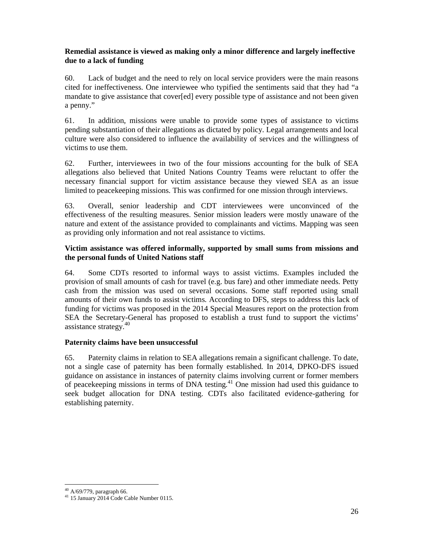# **Remedial assistance is viewed as making only a minor difference and largely ineffective due to a lack of funding**

60. Lack of budget and the need to rely on local service providers were the main reasons cited for ineffectiveness. One interviewee who typified the sentiments said that they had "a mandate to give assistance that cover[ed] every possible type of assistance and not been given a penny."

61. In addition, missions were unable to provide some types of assistance to victims pending substantiation of their allegations as dictated by policy. Legal arrangements and local culture were also considered to influence the availability of services and the willingness of victims to use them.

62. Further, interviewees in two of the four missions accounting for the bulk of SEA allegations also believed that United Nations Country Teams were reluctant to offer the necessary financial support for victim assistance because they viewed SEA as an issue limited to peacekeeping missions. This was confirmed for one mission through interviews.

63. Overall, senior leadership and CDT interviewees were unconvinced of the effectiveness of the resulting measures. Senior mission leaders were mostly unaware of the nature and extent of the assistance provided to complainants and victims. Mapping was seen as providing only information and not real assistance to victims.

## **Victim assistance was offered informally, supported by small sums from missions and the personal funds of United Nations staff**

64. Some CDTs resorted to informal ways to assist victims. Examples included the provision of small amounts of cash for travel (e.g. bus fare) and other immediate needs. Petty cash from the mission was used on several occasions. Some staff reported using small amounts of their own funds to assist victims. According to DFS, steps to address this lack of funding for victims was proposed in the 2014 Special Measures report on the protection from SEA the Secretary-General has proposed to establish a trust fund to support the victims' assistance strategy.<sup>40</sup>

# **Paternity claims have been unsuccessful**

65. Paternity claims in relation to SEA allegations remain a significant challenge. To date, not a single case of paternity has been formally established. In 2014, DPKO-DFS issued guidance on assistance in instances of paternity claims involving current or former members of peacekeeping missions in terms of DNA testing.<sup>41</sup> One mission had used this guidance to seek budget allocation for DNA testing. CDTs also facilitated evidence-gathering for establishing paternity.

<sup>-</sup> $40$  A/69/779, paragraph 66.

<sup>41</sup> 15 January 2014 Code Cable Number 0115.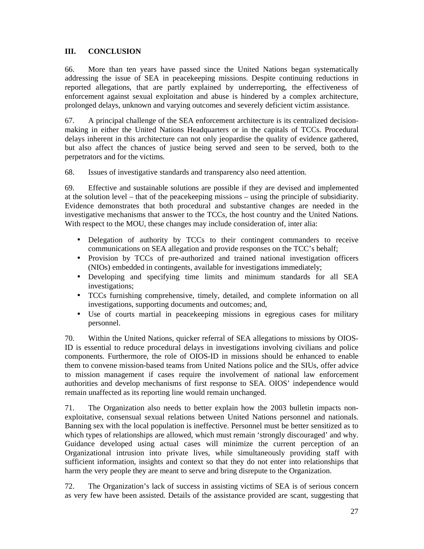# **III. CONCLUSION**

66. More than ten years have passed since the United Nations began systematically addressing the issue of SEA in peacekeeping missions. Despite continuing reductions in reported allegations, that are partly explained by underreporting, the effectiveness of enforcement against sexual exploitation and abuse is hindered by a complex architecture, prolonged delays, unknown and varying outcomes and severely deficient victim assistance.

67. A principal challenge of the SEA enforcement architecture is its centralized decisionmaking in either the United Nations Headquarters or in the capitals of TCCs. Procedural delays inherent in this architecture can not only jeopardise the quality of evidence gathered, but also affect the chances of justice being served and seen to be served, both to the perpetrators and for the victims.

68. Issues of investigative standards and transparency also need attention.

69. Effective and sustainable solutions are possible if they are devised and implemented at the solution level – that of the peacekeeping missions – using the principle of subsidiarity. Evidence demonstrates that both procedural and substantive changes are needed in the investigative mechanisms that answer to the TCCs, the host country and the United Nations. With respect to the MOU, these changes may include consideration of, inter alia:

- Delegation of authority by TCCs to their contingent commanders to receive communications on SEA allegation and provide responses on the TCC's behalf;
- Provision by TCCs of pre-authorized and trained national investigation officers (NIOs) embedded in contingents, available for investigations immediately;
- Developing and specifying time limits and minimum standards for all SEA investigations;
- TCCs furnishing comprehensive, timely, detailed, and complete information on all investigations, supporting documents and outcomes; and,
- Use of courts martial in peacekeeping missions in egregious cases for military personnel.

70. Within the United Nations, quicker referral of SEA allegations to missions by OIOS-ID is essential to reduce procedural delays in investigations involving civilians and police components. Furthermore, the role of OIOS-ID in missions should be enhanced to enable them to convene mission-based teams from United Nations police and the SIUs, offer advice to mission management if cases require the involvement of national law enforcement authorities and develop mechanisms of first response to SEA. OIOS' independence would remain unaffected as its reporting line would remain unchanged.

71. The Organization also needs to better explain how the 2003 bulletin impacts nonexploitative, consensual sexual relations between United Nations personnel and nationals. Banning sex with the local population is ineffective. Personnel must be better sensitized as to which types of relationships are allowed, which must remain 'strongly discouraged' and why. Guidance developed using actual cases will minimize the current perception of an Organizational intrusion into private lives, while simultaneously providing staff with sufficient information, insights and context so that they do not enter into relationships that harm the very people they are meant to serve and bring disrepute to the Organization.

72. The Organization's lack of success in assisting victims of SEA is of serious concern as very few have been assisted. Details of the assistance provided are scant, suggesting that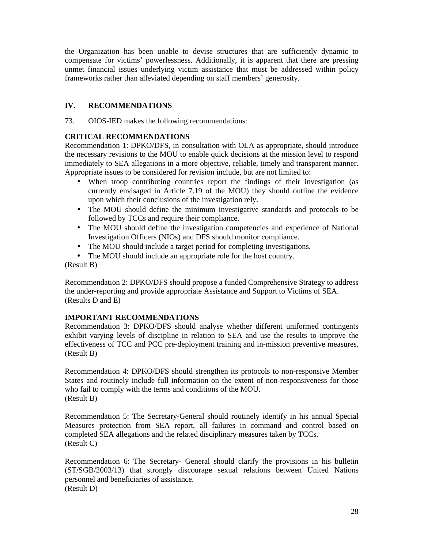the Organization has been unable to devise structures that are sufficiently dynamic to compensate for victims' powerlessness. Additionally, it is apparent that there are pressing unmet financial issues underlying victim assistance that must be addressed within policy frameworks rather than alleviated depending on staff members' generosity.

# **IV. RECOMMENDATIONS**

73. OIOS-IED makes the following recommendations:

## **CRITICAL RECOMMENDATIONS**

Recommendation 1: DPKO/DFS, in consultation with OLA as appropriate, should introduce the necessary revisions to the MOU to enable quick decisions at the mission level to respond immediately to SEA allegations in a more objective, reliable, timely and transparent manner. Appropriate issues to be considered for revision include, but are not limited to:

- When troop contributing countries report the findings of their investigation (as currently envisaged in Article 7.19 of the MOU) they should outline the evidence upon which their conclusions of the investigation rely.
- The MOU should define the minimum investigative standards and protocols to be followed by TCCs and require their compliance.
- The MOU should define the investigation competencies and experience of National Investigation Officers (NIOs) and DFS should monitor compliance.
- The MOU should include a target period for completing investigations.
- The MOU should include an appropriate role for the host country.

(Result B)

Recommendation 2: DPKO/DFS should propose a funded Comprehensive Strategy to address the under-reporting and provide appropriate Assistance and Support to Victims of SEA. (Results D and E)

# **IMPORTANT RECOMMENDATIONS**

Recommendation 3: DPKO/DFS should analyse whether different uniformed contingents exhibit varying levels of discipline in relation to SEA and use the results to improve the effectiveness of TCC and PCC pre-deployment training and in-mission preventive measures. (Result B)

Recommendation 4: DPKO/DFS should strengthen its protocols to non-responsive Member States and routinely include full information on the extent of non-responsiveness for those who fail to comply with the terms and conditions of the MOU. (Result B)

Recommendation 5: The Secretary-General should routinely identify in his annual Special Measures protection from SEA report, all failures in command and control based on completed SEA allegations and the related disciplinary measures taken by TCCs. (Result C)

Recommendation 6: The Secretary- General should clarify the provisions in his bulletin (ST/SGB/2003/13) that strongly discourage sexual relations between United Nations personnel and beneficiaries of assistance. (Result D)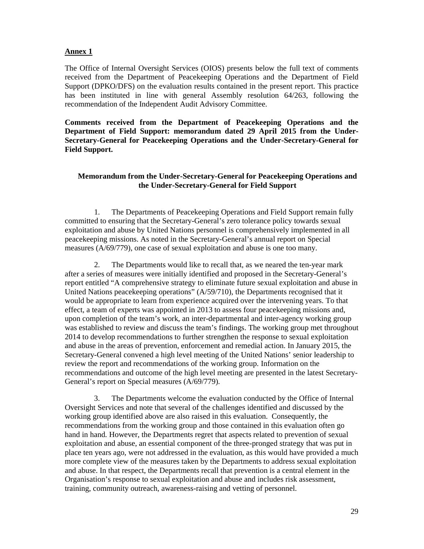#### **Annex 1**

The Office of Internal Oversight Services (OIOS) presents below the full text of comments received from the Department of Peacekeeping Operations and the Department of Field Support (DPKO/DFS) on the evaluation results contained in the present report. This practice has been instituted in line with general Assembly resolution 64/263, following the recommendation of the Independent Audit Advisory Committee.

**Comments received from the Department of Peacekeeping Operations and the Department of Field Support: memorandum dated 29 April 2015 from the Under-Secretary-General for Peacekeeping Operations and the Under-Secretary-General for Field Support.** 

#### **Memorandum from the Under-Secretary-General for Peacekeeping Operations and the Under-Secretary-General for Field Support**

1. The Departments of Peacekeeping Operations and Field Support remain fully committed to ensuring that the Secretary-General's zero tolerance policy towards sexual exploitation and abuse by United Nations personnel is comprehensively implemented in all peacekeeping missions. As noted in the Secretary-General's annual report on Special measures (A/69/779), one case of sexual exploitation and abuse is one too many.

2. The Departments would like to recall that, as we neared the ten-year mark after a series of measures were initially identified and proposed in the Secretary-General's report entitled "A comprehensive strategy to eliminate future sexual exploitation and abuse in United Nations peacekeeping operations" (A/59/710), the Departments recognised that it would be appropriate to learn from experience acquired over the intervening years. To that effect, a team of experts was appointed in 2013 to assess four peacekeeping missions and, upon completion of the team's work, an inter-departmental and inter-agency working group was established to review and discuss the team's findings. The working group met throughout 2014 to develop recommendations to further strengthen the response to sexual exploitation and abuse in the areas of prevention, enforcement and remedial action. In January 2015, the Secretary-General convened a high level meeting of the United Nations' senior leadership to review the report and recommendations of the working group. Information on the recommendations and outcome of the high level meeting are presented in the latest Secretary-General's report on Special measures (A/69/779).

3. The Departments welcome the evaluation conducted by the Office of Internal Oversight Services and note that several of the challenges identified and discussed by the working group identified above are also raised in this evaluation. Consequently, the recommendations from the working group and those contained in this evaluation often go hand in hand. However, the Departments regret that aspects related to prevention of sexual exploitation and abuse, an essential component of the three-pronged strategy that was put in place ten years ago, were not addressed in the evaluation, as this would have provided a much more complete view of the measures taken by the Departments to address sexual exploitation and abuse. In that respect, the Departments recall that prevention is a central element in the Organisation's response to sexual exploitation and abuse and includes risk assessment, training, community outreach, awareness-raising and vetting of personnel.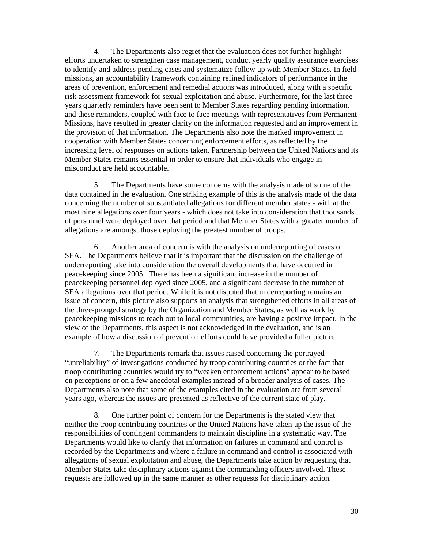4. The Departments also regret that the evaluation does not further highlight efforts undertaken to strengthen case management, conduct yearly quality assurance exercises to identify and address pending cases and systematize follow up with Member States. In field missions, an accountability framework containing refined indicators of performance in the areas of prevention, enforcement and remedial actions was introduced, along with a specific risk assessment framework for sexual exploitation and abuse. Furthermore, for the last three years quarterly reminders have been sent to Member States regarding pending information, and these reminders, coupled with face to face meetings with representatives from Permanent Missions, have resulted in greater clarity on the information requested and an improvement in the provision of that information. The Departments also note the marked improvement in cooperation with Member States concerning enforcement efforts, as reflected by the increasing level of responses on actions taken. Partnership between the United Nations and its Member States remains essential in order to ensure that individuals who engage in misconduct are held accountable.

5. The Departments have some concerns with the analysis made of some of the data contained in the evaluation. One striking example of this is the analysis made of the data concerning the number of substantiated allegations for different member states - with at the most nine allegations over four years - which does not take into consideration that thousands of personnel were deployed over that period and that Member States with a greater number of allegations are amongst those deploying the greatest number of troops.

6. Another area of concern is with the analysis on underreporting of cases of SEA. The Departments believe that it is important that the discussion on the challenge of underreporting take into consideration the overall developments that have occurred in peacekeeping since 2005. There has been a significant increase in the number of peacekeeping personnel deployed since 2005, and a significant decrease in the number of SEA allegations over that period. While it is not disputed that underreporting remains an issue of concern, this picture also supports an analysis that strengthened efforts in all areas of the three-pronged strategy by the Organization and Member States, as well as work by peacekeeping missions to reach out to local communities, are having a positive impact. In the view of the Departments, this aspect is not acknowledged in the evaluation, and is an example of how a discussion of prevention efforts could have provided a fuller picture.

7. The Departments remark that issues raised concerning the portrayed "unreliability" of investigations conducted by troop contributing countries or the fact that troop contributing countries would try to "weaken enforcement actions" appear to be based on perceptions or on a few anecdotal examples instead of a broader analysis of cases. The Departments also note that some of the examples cited in the evaluation are from several years ago, whereas the issues are presented as reflective of the current state of play.

8. One further point of concern for the Departments is the stated view that neither the troop contributing countries or the United Nations have taken up the issue of the responsibilities of contingent commanders to maintain discipline in a systematic way. The Departments would like to clarify that information on failures in command and control is recorded by the Departments and where a failure in command and control is associated with allegations of sexual exploitation and abuse, the Departments take action by requesting that Member States take disciplinary actions against the commanding officers involved. These requests are followed up in the same manner as other requests for disciplinary action.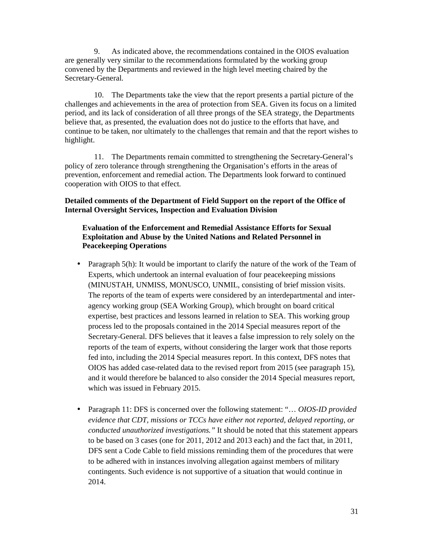9. As indicated above, the recommendations contained in the OIOS evaluation are generally very similar to the recommendations formulated by the working group convened by the Departments and reviewed in the high level meeting chaired by the Secretary-General.

10. The Departments take the view that the report presents a partial picture of the challenges and achievements in the area of protection from SEA. Given its focus on a limited period, and its lack of consideration of all three prongs of the SEA strategy, the Departments believe that, as presented, the evaluation does not do justice to the efforts that have, and continue to be taken, nor ultimately to the challenges that remain and that the report wishes to highlight.

11. The Departments remain committed to strengthening the Secretary-General's policy of zero tolerance through strengthening the Organisation's efforts in the areas of prevention, enforcement and remedial action. The Departments look forward to continued cooperation with OIOS to that effect.

**Detailed comments of the Department of Field Support on the report of the Office of Internal Oversight Services, Inspection and Evaluation Division** 

## **Evaluation of the Enforcement and Remedial Assistance Efforts for Sexual Exploitation and Abuse by the United Nations and Related Personnel in Peacekeeping Operations**

- Paragraph 5(h): It would be important to clarify the nature of the work of the Team of Experts, which undertook an internal evaluation of four peacekeeping missions (MINUSTAH, UNMISS, MONUSCO, UNMIL, consisting of brief mission visits. The reports of the team of experts were considered by an interdepartmental and interagency working group (SEA Working Group), which brought on board critical expertise, best practices and lessons learned in relation to SEA. This working group process led to the proposals contained in the 2014 Special measures report of the Secretary-General. DFS believes that it leaves a false impression to rely solely on the reports of the team of experts, without considering the larger work that those reports fed into, including the 2014 Special measures report. In this context, DFS notes that OIOS has added case-related data to the revised report from 2015 (see paragraph 15), and it would therefore be balanced to also consider the 2014 Special measures report, which was issued in February 2015.
- Paragraph 11: DFS is concerned over the following statement: "… *OIOS-ID provided evidence that CDT, missions or TCCs have either not reported, delayed reporting, or conducted unauthorized investigations."* It should be noted that this statement appears to be based on 3 cases (one for 2011, 2012 and 2013 each) and the fact that, in 2011, DFS sent a Code Cable to field missions reminding them of the procedures that were to be adhered with in instances involving allegation against members of military contingents. Such evidence is not supportive of a situation that would continue in 2014.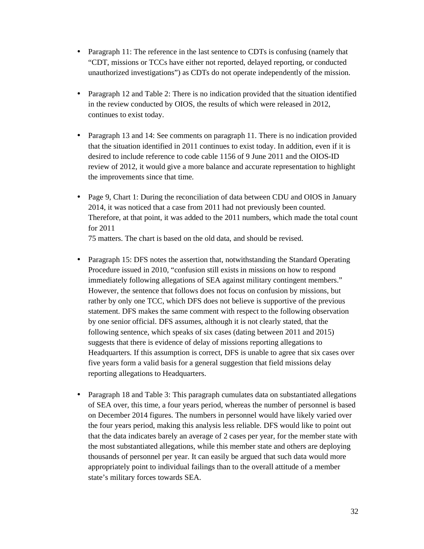- Paragraph 11: The reference in the last sentence to CDTs is confusing (namely that "CDT, missions or TCCs have either not reported, delayed reporting, or conducted unauthorized investigations") as CDTs do not operate independently of the mission.
- Paragraph 12 and Table 2: There is no indication provided that the situation identified in the review conducted by OIOS, the results of which were released in 2012, continues to exist today.
- Paragraph 13 and 14: See comments on paragraph 11. There is no indication provided that the situation identified in 2011 continues to exist today. In addition, even if it is desired to include reference to code cable 1156 of 9 June 2011 and the OIOS-ID review of 2012, it would give a more balance and accurate representation to highlight the improvements since that time.
- Page 9, Chart 1: During the reconciliation of data between CDU and OIOS in January 2014, it was noticed that a case from 2011 had not previously been counted. Therefore, at that point, it was added to the 2011 numbers, which made the total count for 2011

75 matters. The chart is based on the old data, and should be revised.

- Paragraph 15: DFS notes the assertion that, notwithstanding the Standard Operating Procedure issued in 2010, "confusion still exists in missions on how to respond immediately following allegations of SEA against military contingent members." However, the sentence that follows does not focus on confusion by missions, but rather by only one TCC, which DFS does not believe is supportive of the previous statement. DFS makes the same comment with respect to the following observation by one senior official. DFS assumes, although it is not clearly stated, that the following sentence, which speaks of six cases (dating between 2011 and 2015) suggests that there is evidence of delay of missions reporting allegations to Headquarters. If this assumption is correct, DFS is unable to agree that six cases over five years form a valid basis for a general suggestion that field missions delay reporting allegations to Headquarters.
- Paragraph 18 and Table 3: This paragraph cumulates data on substantiated allegations of SEA over, this time, a four years period, whereas the number of personnel is based on December 2014 figures. The numbers in personnel would have likely varied over the four years period, making this analysis less reliable. DFS would like to point out that the data indicates barely an average of 2 cases per year, for the member state with the most substantiated allegations, while this member state and others are deploying thousands of personnel per year. It can easily be argued that such data would more appropriately point to individual failings than to the overall attitude of a member state's military forces towards SEA.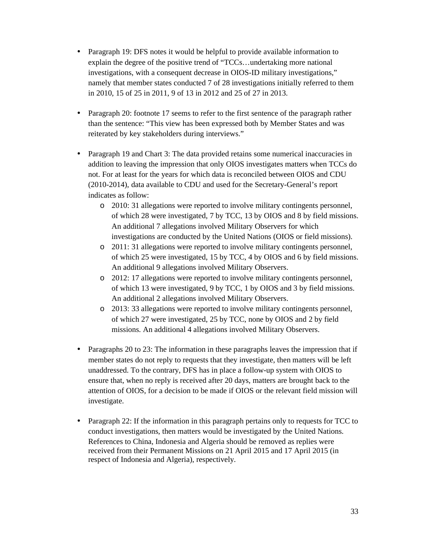- Paragraph 19: DFS notes it would be helpful to provide available information to explain the degree of the positive trend of "TCCs…undertaking more national investigations, with a consequent decrease in OIOS-ID military investigations," namely that member states conducted 7 of 28 investigations initially referred to them in 2010, 15 of 25 in 2011, 9 of 13 in 2012 and 25 of 27 in 2013.
- Paragraph 20: footnote 17 seems to refer to the first sentence of the paragraph rather than the sentence: "This view has been expressed both by Member States and was reiterated by key stakeholders during interviews."
- Paragraph 19 and Chart 3: The data provided retains some numerical inaccuracies in addition to leaving the impression that only OIOS investigates matters when TCCs do not. For at least for the years for which data is reconciled between OIOS and CDU (2010-2014), data available to CDU and used for the Secretary-General's report indicates as follow:
	- o 2010: 31 allegations were reported to involve military contingents personnel, of which 28 were investigated, 7 by TCC, 13 by OIOS and 8 by field missions. An additional 7 allegations involved Military Observers for which investigations are conducted by the United Nations (OIOS or field missions).
	- o 2011: 31 allegations were reported to involve military contingents personnel, of which 25 were investigated, 15 by TCC, 4 by OIOS and 6 by field missions. An additional 9 allegations involved Military Observers.
	- o 2012: 17 allegations were reported to involve military contingents personnel, of which 13 were investigated, 9 by TCC, 1 by OIOS and 3 by field missions. An additional 2 allegations involved Military Observers.
	- o 2013: 33 allegations were reported to involve military contingents personnel, of which 27 were investigated, 25 by TCC, none by OIOS and 2 by field missions. An additional 4 allegations involved Military Observers.
- Paragraphs 20 to 23: The information in these paragraphs leaves the impression that if member states do not reply to requests that they investigate, then matters will be left unaddressed. To the contrary, DFS has in place a follow-up system with OIOS to ensure that, when no reply is received after 20 days, matters are brought back to the attention of OIOS, for a decision to be made if OIOS or the relevant field mission will investigate.
- Paragraph 22: If the information in this paragraph pertains only to requests for TCC to conduct investigations, then matters would be investigated by the United Nations. References to China, Indonesia and Algeria should be removed as replies were received from their Permanent Missions on 21 April 2015 and 17 April 2015 (in respect of Indonesia and Algeria), respectively.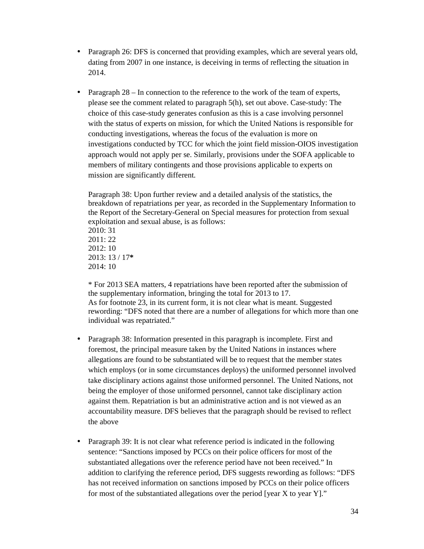- Paragraph 26: DFS is concerned that providing examples, which are several years old, dating from 2007 in one instance, is deceiving in terms of reflecting the situation in 2014.
- Paragraph 28 In connection to the reference to the work of the team of experts, please see the comment related to paragraph 5(h), set out above. Case-study: The choice of this case-study generates confusion as this is a case involving personnel with the status of experts on mission, for which the United Nations is responsible for conducting investigations, whereas the focus of the evaluation is more on investigations conducted by TCC for which the joint field mission-OIOS investigation approach would not apply per se. Similarly, provisions under the SOFA applicable to members of military contingents and those provisions applicable to experts on mission are significantly different.

Paragraph 38: Upon further review and a detailed analysis of the statistics, the breakdown of repatriations per year, as recorded in the Supplementary Information to the Report of the Secretary-General on Special measures for protection from sexual exploitation and sexual abuse, is as follows:

2010: 31 2011: 22 2012: 10 2013: 13 / 17**\*** 2014: 10

\* For 2013 SEA matters, 4 repatriations have been reported after the submission of the supplementary information, bringing the total for 2013 to 17. As for footnote 23, in its current form, it is not clear what is meant. Suggested rewording: "DFS noted that there are a number of allegations for which more than one individual was repatriated."

- Paragraph 38: Information presented in this paragraph is incomplete. First and foremost, the principal measure taken by the United Nations in instances where allegations are found to be substantiated will be to request that the member states which employs (or in some circumstances deploys) the uniformed personnel involved take disciplinary actions against those uniformed personnel. The United Nations, not being the employer of those uniformed personnel, cannot take disciplinary action against them. Repatriation is but an administrative action and is not viewed as an accountability measure. DFS believes that the paragraph should be revised to reflect the above
- Paragraph 39: It is not clear what reference period is indicated in the following sentence: "Sanctions imposed by PCCs on their police officers for most of the substantiated allegations over the reference period have not been received." In addition to clarifying the reference period, DFS suggests rewording as follows: "DFS has not received information on sanctions imposed by PCCs on their police officers for most of the substantiated allegations over the period [year X to year Y]."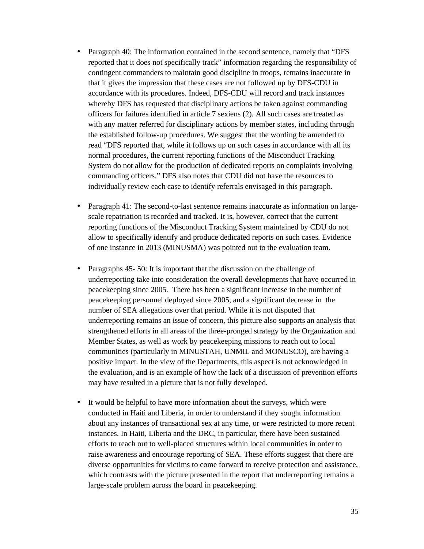- Paragraph 40: The information contained in the second sentence, namely that "DFS reported that it does not specifically track" information regarding the responsibility of contingent commanders to maintain good discipline in troops, remains inaccurate in that it gives the impression that these cases are not followed up by DFS-CDU in accordance with its procedures. Indeed, DFS-CDU will record and track instances whereby DFS has requested that disciplinary actions be taken against commanding officers for failures identified in article 7 sexiens (2). All such cases are treated as with any matter referred for disciplinary actions by member states, including through the established follow-up procedures. We suggest that the wording be amended to read "DFS reported that, while it follows up on such cases in accordance with all its normal procedures, the current reporting functions of the Misconduct Tracking System do not allow for the production of dedicated reports on complaints involving commanding officers." DFS also notes that CDU did not have the resources to individually review each case to identify referrals envisaged in this paragraph.
- Paragraph 41: The second-to-last sentence remains inaccurate as information on largescale repatriation is recorded and tracked. It is, however, correct that the current reporting functions of the Misconduct Tracking System maintained by CDU do not allow to specifically identify and produce dedicated reports on such cases. Evidence of one instance in 2013 (MINUSMA) was pointed out to the evaluation team.
- Paragraphs 45- 50: It is important that the discussion on the challenge of underreporting take into consideration the overall developments that have occurred in peacekeeping since 2005. There has been a significant increase in the number of peacekeeping personnel deployed since 2005, and a significant decrease in the number of SEA allegations over that period. While it is not disputed that underreporting remains an issue of concern, this picture also supports an analysis that strengthened efforts in all areas of the three-pronged strategy by the Organization and Member States, as well as work by peacekeeping missions to reach out to local communities (particularly in MINUSTAH, UNMIL and MONUSCO), are having a positive impact. In the view of the Departments, this aspect is not acknowledged in the evaluation, and is an example of how the lack of a discussion of prevention efforts may have resulted in a picture that is not fully developed.
- It would be helpful to have more information about the surveys, which were conducted in Haiti and Liberia, in order to understand if they sought information about any instances of transactional sex at any time, or were restricted to more recent instances. In Haiti, Liberia and the DRC, in particular, there have been sustained efforts to reach out to well-placed structures within local communities in order to raise awareness and encourage reporting of SEA. These efforts suggest that there are diverse opportunities for victims to come forward to receive protection and assistance, which contrasts with the picture presented in the report that underreporting remains a large-scale problem across the board in peacekeeping.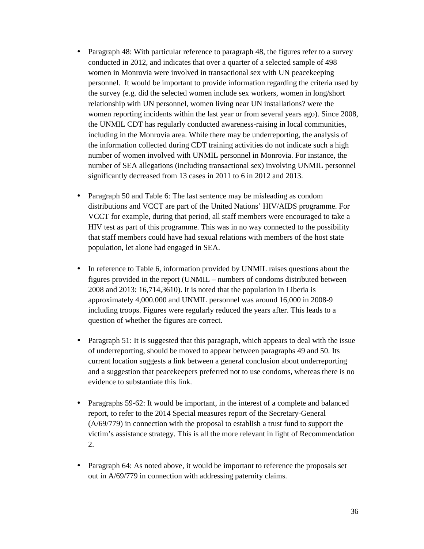- Paragraph 48: With particular reference to paragraph 48, the figures refer to a survey conducted in 2012, and indicates that over a quarter of a selected sample of 498 women in Monrovia were involved in transactional sex with UN peacekeeping personnel. It would be important to provide information regarding the criteria used by the survey (e.g. did the selected women include sex workers, women in long/short relationship with UN personnel, women living near UN installations? were the women reporting incidents within the last year or from several years ago). Since 2008, the UNMIL CDT has regularly conducted awareness-raising in local communities, including in the Monrovia area. While there may be underreporting, the analysis of the information collected during CDT training activities do not indicate such a high number of women involved with UNMIL personnel in Monrovia. For instance, the number of SEA allegations (including transactional sex) involving UNMIL personnel significantly decreased from 13 cases in 2011 to 6 in 2012 and 2013.
- Paragraph 50 and Table 6: The last sentence may be misleading as condom distributions and VCCT are part of the United Nations' HIV/AIDS programme. For VCCT for example, during that period, all staff members were encouraged to take a HIV test as part of this programme. This was in no way connected to the possibility that staff members could have had sexual relations with members of the host state population, let alone had engaged in SEA.
- In reference to Table 6, information provided by UNMIL raises questions about the figures provided in the report (UNMIL – numbers of condoms distributed between 2008 and 2013: 16,714,3610). It is noted that the population in Liberia is approximately 4,000.000 and UNMIL personnel was around 16,000 in 2008-9 including troops. Figures were regularly reduced the years after. This leads to a question of whether the figures are correct.
- Paragraph 51: It is suggested that this paragraph, which appears to deal with the issue of underreporting, should be moved to appear between paragraphs 49 and 50. Its current location suggests a link between a general conclusion about underreporting and a suggestion that peacekeepers preferred not to use condoms, whereas there is no evidence to substantiate this link.
- Paragraphs 59-62: It would be important, in the interest of a complete and balanced report, to refer to the 2014 Special measures report of the Secretary-General (A/69/779) in connection with the proposal to establish a trust fund to support the victim's assistance strategy. This is all the more relevant in light of Recommendation 2.
- Paragraph 64: As noted above, it would be important to reference the proposals set out in A/69/779 in connection with addressing paternity claims.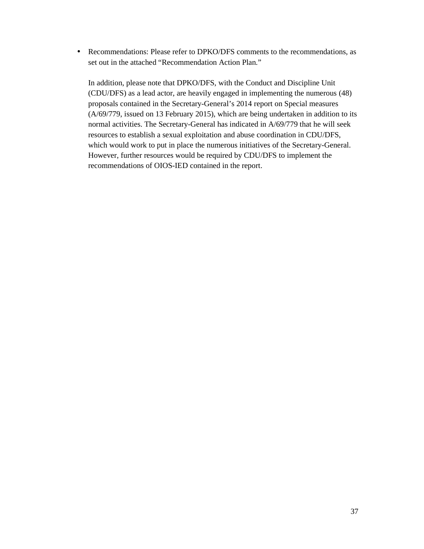• Recommendations: Please refer to DPKO/DFS comments to the recommendations, as set out in the attached "Recommendation Action Plan."

In addition, please note that DPKO/DFS, with the Conduct and Discipline Unit (CDU/DFS) as a lead actor, are heavily engaged in implementing the numerous (48) proposals contained in the Secretary-General's 2014 report on Special measures (A/69/779, issued on 13 February 2015), which are being undertaken in addition to its normal activities. The Secretary-General has indicated in A/69/779 that he will seek resources to establish a sexual exploitation and abuse coordination in CDU/DFS, which would work to put in place the numerous initiatives of the Secretary-General. However, further resources would be required by CDU/DFS to implement the recommendations of OIOS-IED contained in the report.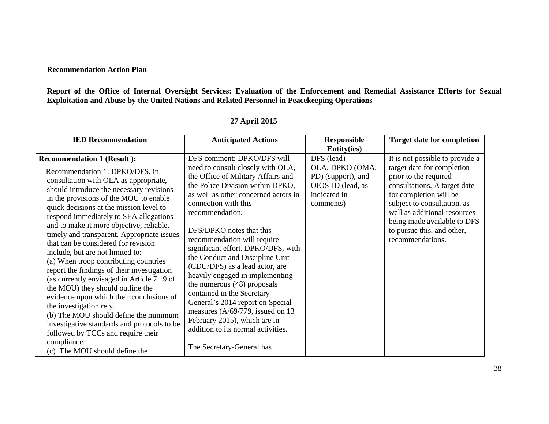#### **Recommendation Action Plan**

**Report of the Office of Internal Oversight Services: Evaluation of the Enforcement and Remedial Assistance Efforts for Sexual Exploitation and Abuse by the United Nations and Related Personnel in Peacekeeping Operations** 

| <b>IED Recommendation</b>                                                                                                                                                                                                                                                                                                                                                                                                                                                                                                                                                                                                                                                                                                                                                                                                                                                                   | <b>Anticipated Actions</b>                                                                                                                                                                                                                                                                                                                                                                                                                                                                                                                                                                                                                                                        | <b>Responsible</b>                                                                                    | <b>Target date for completion</b>                                                                                                                                                                                                                                                                |
|---------------------------------------------------------------------------------------------------------------------------------------------------------------------------------------------------------------------------------------------------------------------------------------------------------------------------------------------------------------------------------------------------------------------------------------------------------------------------------------------------------------------------------------------------------------------------------------------------------------------------------------------------------------------------------------------------------------------------------------------------------------------------------------------------------------------------------------------------------------------------------------------|-----------------------------------------------------------------------------------------------------------------------------------------------------------------------------------------------------------------------------------------------------------------------------------------------------------------------------------------------------------------------------------------------------------------------------------------------------------------------------------------------------------------------------------------------------------------------------------------------------------------------------------------------------------------------------------|-------------------------------------------------------------------------------------------------------|--------------------------------------------------------------------------------------------------------------------------------------------------------------------------------------------------------------------------------------------------------------------------------------------------|
|                                                                                                                                                                                                                                                                                                                                                                                                                                                                                                                                                                                                                                                                                                                                                                                                                                                                                             |                                                                                                                                                                                                                                                                                                                                                                                                                                                                                                                                                                                                                                                                                   | <b>Entity(ies)</b>                                                                                    |                                                                                                                                                                                                                                                                                                  |
| <b>Recommendation 1 (Result ):</b><br>Recommendation 1: DPKO/DFS, in<br>consultation with OLA as appropriate,<br>should introduce the necessary revisions<br>in the provisions of the MOU to enable<br>quick decisions at the mission level to<br>respond immediately to SEA allegations<br>and to make it more objective, reliable,<br>timely and transparent. Appropriate issues<br>that can be considered for revision<br>include, but are not limited to:<br>(a) When troop contributing countries<br>report the findings of their investigation<br>(as currently envisaged in Article 7.19 of<br>the MOU) they should outline the<br>evidence upon which their conclusions of<br>the investigation rely.<br>(b) The MOU should define the minimum<br>investigative standards and protocols to be<br>followed by TCCs and require their<br>compliance.<br>(c) The MOU should define the | DFS comment: DPKO/DFS will<br>need to consult closely with OLA,<br>the Office of Military Affairs and<br>the Police Division within DPKO,<br>as well as other concerned actors in<br>connection with this<br>recommendation.<br>DFS/DPKO notes that this<br>recommendation will require<br>significant effort. DPKO/DFS, with<br>the Conduct and Discipline Unit<br>(CDU/DFS) as a lead actor, are<br>heavily engaged in implementing<br>the numerous (48) proposals<br>contained in the Secretary-<br>General's 2014 report on Special<br>measures $(A/69/779$ , issued on 13<br>February 2015), which are in<br>addition to its normal activities.<br>The Secretary-General has | DFS (lead)<br>OLA, DPKO (OMA,<br>PD) (support), and<br>OIOS-ID (lead, as<br>indicated in<br>comments) | It is not possible to provide a<br>target date for completion<br>prior to the required<br>consultations. A target date<br>for completion will be<br>subject to consultation, as<br>well as additional resources<br>being made available to DFS<br>to pursue this, and other,<br>recommendations. |

# **27 April 2015**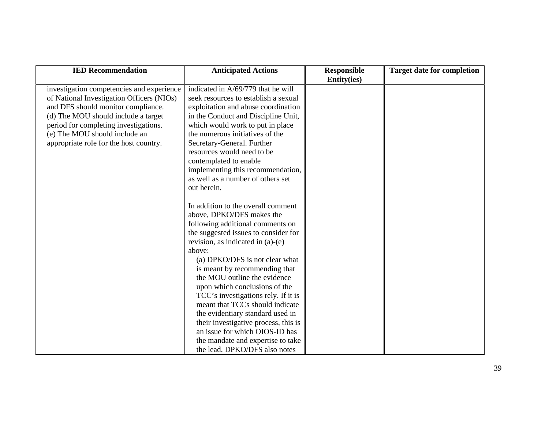| <b>IED Recommendation</b>                                                                                                                                                                                                                                                               | <b>Anticipated Actions</b>                                                                                                                                                                                                                                                                                                                                                                                                                                                                                                                                                                   | <b>Responsible</b><br><b>Entity(ies)</b> | <b>Target date for completion</b> |
|-----------------------------------------------------------------------------------------------------------------------------------------------------------------------------------------------------------------------------------------------------------------------------------------|----------------------------------------------------------------------------------------------------------------------------------------------------------------------------------------------------------------------------------------------------------------------------------------------------------------------------------------------------------------------------------------------------------------------------------------------------------------------------------------------------------------------------------------------------------------------------------------------|------------------------------------------|-----------------------------------|
| investigation competencies and experience<br>of National Investigation Officers (NIOs)<br>and DFS should monitor compliance.<br>(d) The MOU should include a target<br>period for completing investigations.<br>(e) The MOU should include an<br>appropriate role for the host country. | indicated in A/69/779 that he will<br>seek resources to establish a sexual<br>exploitation and abuse coordination<br>in the Conduct and Discipline Unit,<br>which would work to put in place<br>the numerous initiatives of the<br>Secretary-General. Further<br>resources would need to be<br>contemplated to enable<br>implementing this recommendation,<br>as well as a number of others set<br>out herein.                                                                                                                                                                               |                                          |                                   |
|                                                                                                                                                                                                                                                                                         | In addition to the overall comment<br>above, DPKO/DFS makes the<br>following additional comments on<br>the suggested issues to consider for<br>revision, as indicated in (a)-(e)<br>above:<br>(a) DPKO/DFS is not clear what<br>is meant by recommending that<br>the MOU outline the evidence<br>upon which conclusions of the<br>TCC's investigations rely. If it is<br>meant that TCCs should indicate<br>the evidentiary standard used in<br>their investigative process, this is<br>an issue for which OIOS-ID has<br>the mandate and expertise to take<br>the lead. DPKO/DFS also notes |                                          |                                   |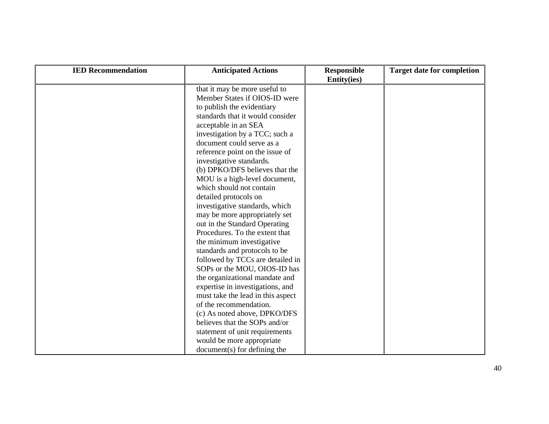| <b>IED Recommendation</b> | <b>Anticipated Actions</b>        | <b>Responsible</b><br><b>Entity(ies)</b> | <b>Target date for completion</b> |
|---------------------------|-----------------------------------|------------------------------------------|-----------------------------------|
|                           | that it may be more useful to     |                                          |                                   |
|                           | Member States if OIOS-ID were     |                                          |                                   |
|                           | to publish the evidentiary        |                                          |                                   |
|                           | standards that it would consider  |                                          |                                   |
|                           | acceptable in an SEA              |                                          |                                   |
|                           | investigation by a TCC; such a    |                                          |                                   |
|                           | document could serve as a         |                                          |                                   |
|                           | reference point on the issue of   |                                          |                                   |
|                           | investigative standards.          |                                          |                                   |
|                           | (b) DPKO/DFS believes that the    |                                          |                                   |
|                           | MOU is a high-level document,     |                                          |                                   |
|                           | which should not contain          |                                          |                                   |
|                           | detailed protocols on             |                                          |                                   |
|                           | investigative standards, which    |                                          |                                   |
|                           | may be more appropriately set     |                                          |                                   |
|                           | out in the Standard Operating     |                                          |                                   |
|                           | Procedures. To the extent that    |                                          |                                   |
|                           | the minimum investigative         |                                          |                                   |
|                           | standards and protocols to be     |                                          |                                   |
|                           | followed by TCCs are detailed in  |                                          |                                   |
|                           | SOPs or the MOU, OIOS-ID has      |                                          |                                   |
|                           | the organizational mandate and    |                                          |                                   |
|                           | expertise in investigations, and  |                                          |                                   |
|                           | must take the lead in this aspect |                                          |                                   |
|                           | of the recommendation.            |                                          |                                   |
|                           | (c) As noted above, DPKO/DFS      |                                          |                                   |
|                           | believes that the SOPs and/or     |                                          |                                   |
|                           | statement of unit requirements    |                                          |                                   |
|                           | would be more appropriate         |                                          |                                   |
|                           | $document(s)$ for defining the    |                                          |                                   |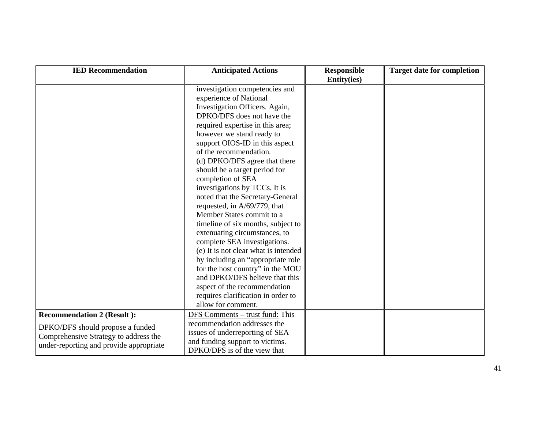| <b>IED Recommendation</b>               | <b>Anticipated Actions</b>           | <b>Responsible</b><br>Entity(ies) | <b>Target date for completion</b> |
|-----------------------------------------|--------------------------------------|-----------------------------------|-----------------------------------|
|                                         | investigation competencies and       |                                   |                                   |
|                                         | experience of National               |                                   |                                   |
|                                         | Investigation Officers. Again,       |                                   |                                   |
|                                         | DPKO/DFS does not have the           |                                   |                                   |
|                                         | required expertise in this area;     |                                   |                                   |
|                                         | however we stand ready to            |                                   |                                   |
|                                         | support OIOS-ID in this aspect       |                                   |                                   |
|                                         | of the recommendation.               |                                   |                                   |
|                                         | (d) DPKO/DFS agree that there        |                                   |                                   |
|                                         | should be a target period for        |                                   |                                   |
|                                         | completion of SEA                    |                                   |                                   |
|                                         | investigations by TCCs. It is        |                                   |                                   |
|                                         | noted that the Secretary-General     |                                   |                                   |
|                                         | requested, in A/69/779, that         |                                   |                                   |
|                                         | Member States commit to a            |                                   |                                   |
|                                         | timeline of six months, subject to   |                                   |                                   |
|                                         | extenuating circumstances, to        |                                   |                                   |
|                                         | complete SEA investigations.         |                                   |                                   |
|                                         | (e) It is not clear what is intended |                                   |                                   |
|                                         | by including an "appropriate role"   |                                   |                                   |
|                                         | for the host country" in the MOU     |                                   |                                   |
|                                         | and DPKO/DFS believe that this       |                                   |                                   |
|                                         | aspect of the recommendation         |                                   |                                   |
|                                         | requires clarification in order to   |                                   |                                   |
|                                         | allow for comment.                   |                                   |                                   |
| <b>Recommendation 2 (Result ):</b>      | DFS Comments – trust fund: This      |                                   |                                   |
|                                         | recommendation addresses the         |                                   |                                   |
| DPKO/DFS should propose a funded        | issues of underreporting of SEA      |                                   |                                   |
| Comprehensive Strategy to address the   | and funding support to victims.      |                                   |                                   |
| under-reporting and provide appropriate | DPKO/DFS is of the view that         |                                   |                                   |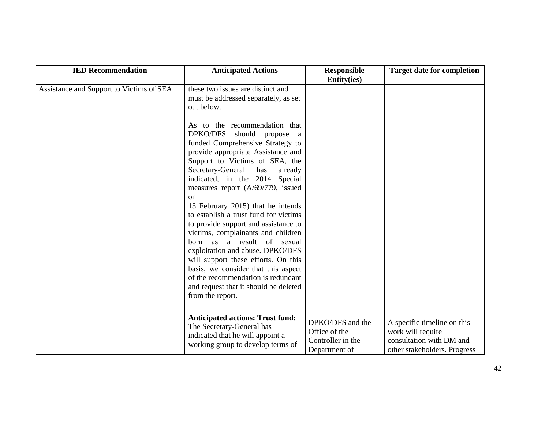| <b>IED Recommendation</b>                 | <b>Anticipated Actions</b>                                                                                                                                                                                                                                                                                                                                                                                                                                                                                                                                                                                                                                                                                            | <b>Responsible</b><br><b>Entity(ies)</b>                                | <b>Target date for completion</b>                                                                            |
|-------------------------------------------|-----------------------------------------------------------------------------------------------------------------------------------------------------------------------------------------------------------------------------------------------------------------------------------------------------------------------------------------------------------------------------------------------------------------------------------------------------------------------------------------------------------------------------------------------------------------------------------------------------------------------------------------------------------------------------------------------------------------------|-------------------------------------------------------------------------|--------------------------------------------------------------------------------------------------------------|
| Assistance and Support to Victims of SEA. | these two issues are distinct and<br>must be addressed separately, as set<br>out below.<br>As to the recommendation that<br>DPKO/DFS<br>should<br>propose<br>a<br>funded Comprehensive Strategy to<br>provide appropriate Assistance and<br>Support to Victims of SEA, the<br>Secretary-General<br>has<br>already<br>indicated, in the 2014 Special<br>measures report (A/69/779, issued<br><sub>on</sub><br>13 February 2015) that he intends<br>to establish a trust fund for victims<br>to provide support and assistance to<br>victims, complainants and children<br>born as a result of sexual<br>exploitation and abuse. DPKO/DFS<br>will support these efforts. On this<br>basis, we consider that this aspect |                                                                         |                                                                                                              |
|                                           | of the recommendation is redundant<br>and request that it should be deleted<br>from the report.<br><b>Anticipated actions: Trust fund:</b>                                                                                                                                                                                                                                                                                                                                                                                                                                                                                                                                                                            |                                                                         |                                                                                                              |
|                                           | The Secretary-General has<br>indicated that he will appoint a<br>working group to develop terms of                                                                                                                                                                                                                                                                                                                                                                                                                                                                                                                                                                                                                    | DPKO/DFS and the<br>Office of the<br>Controller in the<br>Department of | A specific timeline on this<br>work will require<br>consultation with DM and<br>other stakeholders. Progress |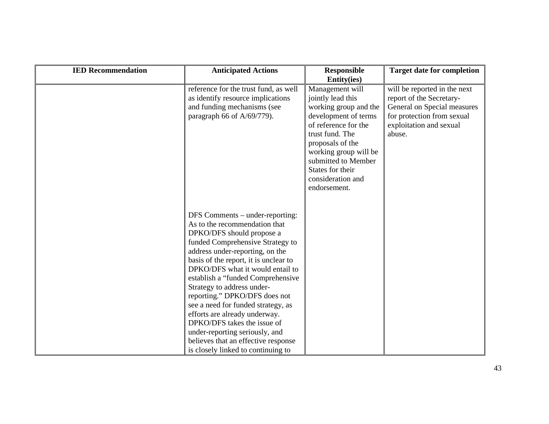| <b>IED Recommendation</b> | <b>Anticipated Actions</b>                                                                                                                                                                                                                                                                                                                                                                                                                                                                                                                                                 | <b>Responsible</b><br><b>Entity(ies)</b>                                                                                                                                                                                                                      | <b>Target date for completion</b>                                                                                                                          |
|---------------------------|----------------------------------------------------------------------------------------------------------------------------------------------------------------------------------------------------------------------------------------------------------------------------------------------------------------------------------------------------------------------------------------------------------------------------------------------------------------------------------------------------------------------------------------------------------------------------|---------------------------------------------------------------------------------------------------------------------------------------------------------------------------------------------------------------------------------------------------------------|------------------------------------------------------------------------------------------------------------------------------------------------------------|
|                           | reference for the trust fund, as well<br>as identify resource implications<br>and funding mechanisms (see<br>paragraph 66 of A/69/779).                                                                                                                                                                                                                                                                                                                                                                                                                                    | Management will<br>jointly lead this<br>working group and the<br>development of terms<br>of reference for the<br>trust fund. The<br>proposals of the<br>working group will be<br>submitted to Member<br>States for their<br>consideration and<br>endorsement. | will be reported in the next<br>report of the Secretary-<br>General on Special measures<br>for protection from sexual<br>exploitation and sexual<br>abuse. |
|                           | DFS Comments – under-reporting:<br>As to the recommendation that<br>DPKO/DFS should propose a<br>funded Comprehensive Strategy to<br>address under-reporting, on the<br>basis of the report, it is unclear to<br>DPKO/DFS what it would entail to<br>establish a "funded Comprehensive<br>Strategy to address under-<br>reporting." DPKO/DFS does not<br>see a need for funded strategy, as<br>efforts are already underway.<br>DPKO/DFS takes the issue of<br>under-reporting seriously, and<br>believes that an effective response<br>is closely linked to continuing to |                                                                                                                                                                                                                                                               |                                                                                                                                                            |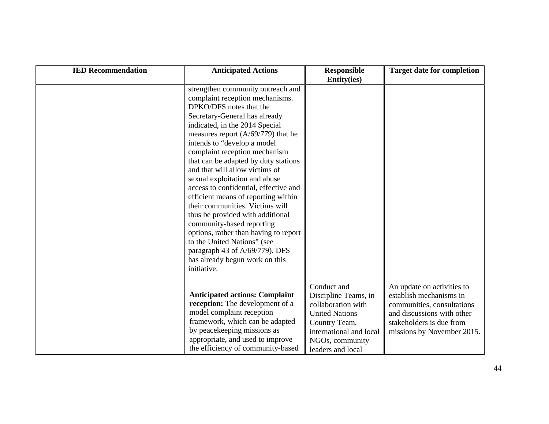| <b>IED Recommendation</b> | <b>Anticipated Actions</b>                                                                                                                                                                                                                                                                                                                                                                                                                                                                                                                                                                                                                                                                                                           | <b>Responsible</b><br><b>Entity(ies)</b>                                                                                                                               | <b>Target date for completion</b>                                                                                                                                           |
|---------------------------|--------------------------------------------------------------------------------------------------------------------------------------------------------------------------------------------------------------------------------------------------------------------------------------------------------------------------------------------------------------------------------------------------------------------------------------------------------------------------------------------------------------------------------------------------------------------------------------------------------------------------------------------------------------------------------------------------------------------------------------|------------------------------------------------------------------------------------------------------------------------------------------------------------------------|-----------------------------------------------------------------------------------------------------------------------------------------------------------------------------|
|                           | strengthen community outreach and<br>complaint reception mechanisms.<br>DPKO/DFS notes that the<br>Secretary-General has already<br>indicated, in the 2014 Special<br>measures report $(A/69/779)$ that he<br>intends to "develop a model<br>complaint reception mechanism<br>that can be adapted by duty stations<br>and that will allow victims of<br>sexual exploitation and abuse<br>access to confidential, effective and<br>efficient means of reporting within<br>their communities. Victims will<br>thus be provided with additional<br>community-based reporting<br>options, rather than having to report<br>to the United Nations" (see<br>paragraph 43 of A/69/779). DFS<br>has already begun work on this<br>initiative. |                                                                                                                                                                        |                                                                                                                                                                             |
|                           | <b>Anticipated actions: Complaint</b><br>reception: The development of a<br>model complaint reception<br>framework, which can be adapted<br>by peacekeeping missions as<br>appropriate, and used to improve<br>the efficiency of community-based                                                                                                                                                                                                                                                                                                                                                                                                                                                                                     | Conduct and<br>Discipline Teams, in<br>collaboration with<br><b>United Nations</b><br>Country Team,<br>international and local<br>NGOs, community<br>leaders and local | An update on activities to<br>establish mechanisms in<br>communities, consultations<br>and discussions with other<br>stakeholders is due from<br>missions by November 2015. |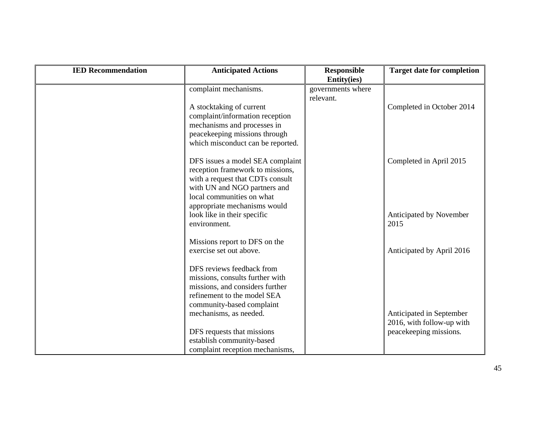| <b>IED Recommendation</b> | <b>Anticipated Actions</b>                                                                                                                                                                                                           | <b>Responsible</b><br><b>Entity(ies)</b> | <b>Target date for completion</b>                     |
|---------------------------|--------------------------------------------------------------------------------------------------------------------------------------------------------------------------------------------------------------------------------------|------------------------------------------|-------------------------------------------------------|
|                           | complaint mechanisms.<br>A stocktaking of current<br>complaint/information reception<br>mechanisms and processes in<br>peacekeeping missions through<br>which misconduct can be reported.                                            | governments where<br>relevant.           | Completed in October 2014                             |
|                           | DFS issues a model SEA complaint<br>reception framework to missions,<br>with a request that CDTs consult<br>with UN and NGO partners and<br>local communities on what<br>appropriate mechanisms would<br>look like in their specific |                                          | Completed in April 2015<br>Anticipated by November    |
|                           | environment.<br>Missions report to DFS on the<br>exercise set out above.                                                                                                                                                             |                                          | 2015<br>Anticipated by April 2016                     |
|                           | DFS reviews feedback from<br>missions, consults further with<br>missions, and considers further<br>refinement to the model SEA<br>community-based complaint<br>mechanisms, as needed.                                                |                                          | Anticipated in September<br>2016, with follow-up with |
|                           | DFS requests that missions<br>establish community-based<br>complaint reception mechanisms,                                                                                                                                           |                                          | peacekeeping missions.                                |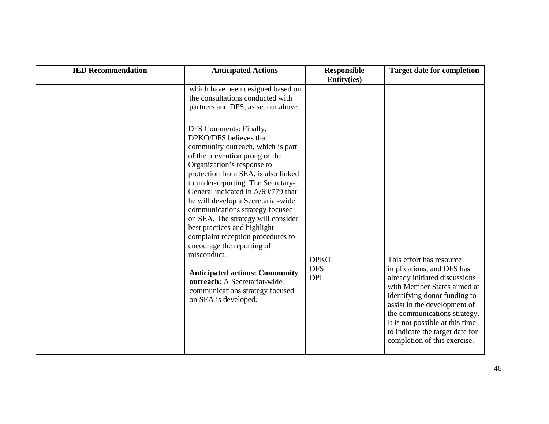| which have been designed based on                                                                                                                                                                                                                                                                                                                                                                                                                                                                                                                                                                                                                                                                                                      |                           |                                                                                                                                                                                                                                                                                                                             |
|----------------------------------------------------------------------------------------------------------------------------------------------------------------------------------------------------------------------------------------------------------------------------------------------------------------------------------------------------------------------------------------------------------------------------------------------------------------------------------------------------------------------------------------------------------------------------------------------------------------------------------------------------------------------------------------------------------------------------------------|---------------------------|-----------------------------------------------------------------------------------------------------------------------------------------------------------------------------------------------------------------------------------------------------------------------------------------------------------------------------|
| the consultations conducted with<br>partners and DFS, as set out above.<br>DFS Comments: Finally,<br>DPKO/DFS believes that<br>community outreach, which is part<br>of the prevention prong of the<br>Organization's response to<br>protection from SEA, is also linked<br>to under-reporting. The Secretary-<br>General indicated in A/69/779 that<br>he will develop a Secretariat-wide<br>communications strategy focused<br>on SEA. The strategy will consider<br>best practices and highlight<br>complaint reception procedures to<br>encourage the reporting of<br>misconduct.<br><b>Anticipated actions: Community</b><br><b>DPI</b><br>outreach: A Secretariat-wide<br>communications strategy focused<br>on SEA is developed. | <b>DPKO</b><br><b>DFS</b> | This effort has resource<br>implications, and DFS has<br>already initiated discussions<br>with Member States aimed at<br>identifying donor funding to<br>assist in the development of<br>the communications strategy.<br>It is not possible at this time<br>to indicate the target date for<br>completion of this exercise. |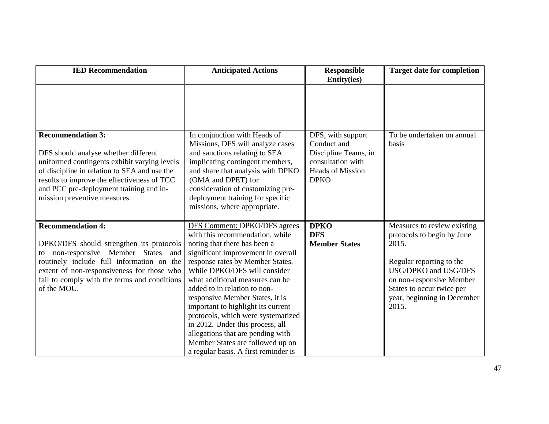| <b>IED Recommendation</b>                                                                                                                                                                                                                                                                  | <b>Anticipated Actions</b>                                                                                                                                                                                                                                                                                                                                                                                                                                                                                                                       | <b>Responsible</b><br><b>Entity(ies)</b>                                                                                | <b>Target date for completion</b>                                                                                                                                                                                       |
|--------------------------------------------------------------------------------------------------------------------------------------------------------------------------------------------------------------------------------------------------------------------------------------------|--------------------------------------------------------------------------------------------------------------------------------------------------------------------------------------------------------------------------------------------------------------------------------------------------------------------------------------------------------------------------------------------------------------------------------------------------------------------------------------------------------------------------------------------------|-------------------------------------------------------------------------------------------------------------------------|-------------------------------------------------------------------------------------------------------------------------------------------------------------------------------------------------------------------------|
|                                                                                                                                                                                                                                                                                            |                                                                                                                                                                                                                                                                                                                                                                                                                                                                                                                                                  |                                                                                                                         |                                                                                                                                                                                                                         |
| <b>Recommendation 3:</b><br>DFS should analyse whether different<br>uniformed contingents exhibit varying levels<br>of discipline in relation to SEA and use the<br>results to improve the effectiveness of TCC<br>and PCC pre-deployment training and in-<br>mission preventive measures. | In conjunction with Heads of<br>Missions, DFS will analyze cases<br>and sanctions relating to SEA<br>implicating contingent members,<br>and share that analysis with DPKO<br>(OMA and DPET) for<br>consideration of customizing pre-<br>deployment training for specific<br>missions, where appropriate.                                                                                                                                                                                                                                         | DFS, with support<br>Conduct and<br>Discipline Teams, in<br>consultation with<br><b>Heads of Mission</b><br><b>DPKO</b> | To be undertaken on annual<br>basis                                                                                                                                                                                     |
| <b>Recommendation 4:</b><br>DPKO/DFS should strengthen its protocols<br>Member States<br>non-responsive<br>and<br>to<br>routinely include full information on the<br>extent of non-responsiveness for those who<br>fail to comply with the terms and conditions<br>of the MOU.             | DFS Comment: DPKO/DFS agrees<br>with this recommendation, while<br>noting that there has been a<br>significant improvement in overall<br>response rates by Member States.<br>While DPKO/DFS will consider<br>what additional measures can be<br>added to in relation to non-<br>responsive Member States, it is<br>important to highlight its current<br>protocols, which were systematized<br>in 2012. Under this process, all<br>allegations that are pending with<br>Member States are followed up on<br>a regular basis. A first reminder is | <b>DPKO</b><br><b>DFS</b><br><b>Member States</b>                                                                       | Measures to review existing<br>protocols to begin by June<br>2015.<br>Regular reporting to the<br>USG/DPKO and USG/DFS<br>on non-responsive Member<br>States to occur twice per<br>year, beginning in December<br>2015. |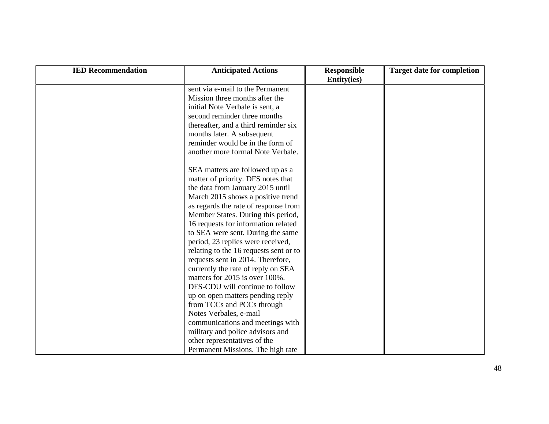| <b>IED Recommendation</b> | <b>Anticipated Actions</b>             | <b>Responsible</b><br><b>Entity(ies)</b> | <b>Target date for completion</b> |
|---------------------------|----------------------------------------|------------------------------------------|-----------------------------------|
|                           | sent via e-mail to the Permanent       |                                          |                                   |
|                           | Mission three months after the         |                                          |                                   |
|                           | initial Note Verbale is sent, a        |                                          |                                   |
|                           | second reminder three months           |                                          |                                   |
|                           | thereafter, and a third reminder six   |                                          |                                   |
|                           | months later. A subsequent             |                                          |                                   |
|                           | reminder would be in the form of       |                                          |                                   |
|                           | another more formal Note Verbale.      |                                          |                                   |
|                           | SEA matters are followed up as a       |                                          |                                   |
|                           | matter of priority. DFS notes that     |                                          |                                   |
|                           | the data from January 2015 until       |                                          |                                   |
|                           | March 2015 shows a positive trend      |                                          |                                   |
|                           | as regards the rate of response from   |                                          |                                   |
|                           | Member States. During this period,     |                                          |                                   |
|                           | 16 requests for information related    |                                          |                                   |
|                           | to SEA were sent. During the same      |                                          |                                   |
|                           | period, 23 replies were received,      |                                          |                                   |
|                           | relating to the 16 requests sent or to |                                          |                                   |
|                           | requests sent in 2014. Therefore,      |                                          |                                   |
|                           | currently the rate of reply on SEA     |                                          |                                   |
|                           | matters for 2015 is over 100%.         |                                          |                                   |
|                           | DFS-CDU will continue to follow        |                                          |                                   |
|                           | up on open matters pending reply       |                                          |                                   |
|                           | from TCCs and PCCs through             |                                          |                                   |
|                           | Notes Verbales, e-mail                 |                                          |                                   |
|                           | communications and meetings with       |                                          |                                   |
|                           | military and police advisors and       |                                          |                                   |
|                           | other representatives of the           |                                          |                                   |
|                           | Permanent Missions. The high rate      |                                          |                                   |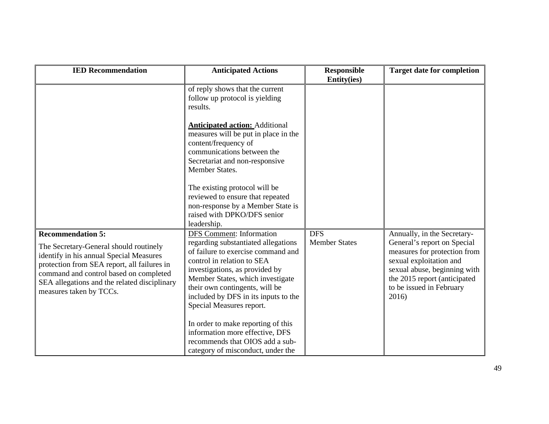| <b>IED Recommendation</b>                                                                                                                                                                                                                                                         | <b>Anticipated Actions</b>                                                                                                                                                                                                                                                                                             | <b>Responsible</b><br><b>Entity(ies)</b> | <b>Target date for completion</b>                                                                                                                                                                                          |
|-----------------------------------------------------------------------------------------------------------------------------------------------------------------------------------------------------------------------------------------------------------------------------------|------------------------------------------------------------------------------------------------------------------------------------------------------------------------------------------------------------------------------------------------------------------------------------------------------------------------|------------------------------------------|----------------------------------------------------------------------------------------------------------------------------------------------------------------------------------------------------------------------------|
|                                                                                                                                                                                                                                                                                   | of reply shows that the current<br>follow up protocol is yielding<br>results.                                                                                                                                                                                                                                          |                                          |                                                                                                                                                                                                                            |
|                                                                                                                                                                                                                                                                                   | <b>Anticipated action:</b> Additional<br>measures will be put in place in the<br>content/frequency of<br>communications between the<br>Secretariat and non-responsive<br>Member States.                                                                                                                                |                                          |                                                                                                                                                                                                                            |
|                                                                                                                                                                                                                                                                                   | The existing protocol will be<br>reviewed to ensure that repeated<br>non-response by a Member State is<br>raised with DPKO/DFS senior<br>leadership.                                                                                                                                                                   |                                          |                                                                                                                                                                                                                            |
| <b>Recommendation 5:</b><br>The Secretary-General should routinely<br>identify in his annual Special Measures<br>protection from SEA report, all failures in<br>command and control based on completed<br>SEA allegations and the related disciplinary<br>measures taken by TCCs. | <b>DFS</b> Comment: Information<br>regarding substantiated allegations<br>of failure to exercise command and<br>control in relation to SEA<br>investigations, as provided by<br>Member States, which investigate<br>their own contingents, will be<br>included by DFS in its inputs to the<br>Special Measures report. | <b>DFS</b><br><b>Member States</b>       | Annually, in the Secretary-<br>General's report on Special<br>measures for protection from<br>sexual exploitation and<br>sexual abuse, beginning with<br>the 2015 report (anticipated<br>to be issued in February<br>2016) |
|                                                                                                                                                                                                                                                                                   | In order to make reporting of this<br>information more effective, DFS<br>recommends that OIOS add a sub-<br>category of misconduct, under the                                                                                                                                                                          |                                          |                                                                                                                                                                                                                            |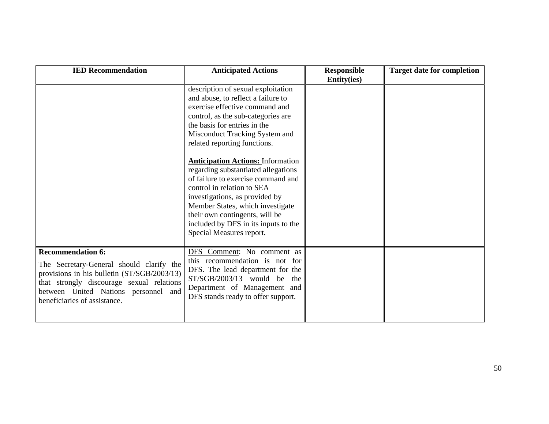| <b>IED Recommendation</b>                                                                                                                                                                                                                | <b>Anticipated Actions</b>                                                                                                                                                                                                                                                                                                                                                                                                                                                                                                                                                            | <b>Responsible</b><br><b>Entity(ies)</b> | <b>Target date for completion</b> |
|------------------------------------------------------------------------------------------------------------------------------------------------------------------------------------------------------------------------------------------|---------------------------------------------------------------------------------------------------------------------------------------------------------------------------------------------------------------------------------------------------------------------------------------------------------------------------------------------------------------------------------------------------------------------------------------------------------------------------------------------------------------------------------------------------------------------------------------|------------------------------------------|-----------------------------------|
|                                                                                                                                                                                                                                          | description of sexual exploitation<br>and abuse, to reflect a failure to<br>exercise effective command and<br>control, as the sub-categories are<br>the basis for entries in the<br>Misconduct Tracking System and<br>related reporting functions.<br><b>Anticipation Actions: Information</b><br>regarding substantiated allegations<br>of failure to exercise command and<br>control in relation to SEA<br>investigations, as provided by<br>Member States, which investigate<br>their own contingents, will be<br>included by DFS in its inputs to the<br>Special Measures report. |                                          |                                   |
| <b>Recommendation 6:</b><br>The Secretary-General should clarify the<br>provisions in his bulletin (ST/SGB/2003/13)<br>that strongly discourage sexual relations<br>between United Nations personnel and<br>beneficiaries of assistance. | DFS Comment: No comment as<br>this recommendation is not for<br>DFS. The lead department for the<br>ST/SGB/2003/13 would be the<br>Department of Management and<br>DFS stands ready to offer support.                                                                                                                                                                                                                                                                                                                                                                                 |                                          |                                   |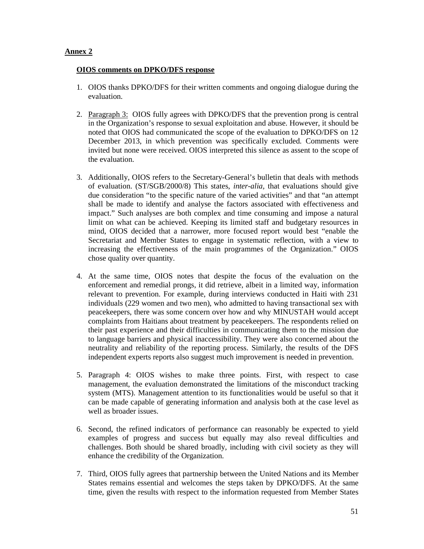# **Annex 2**

#### **OIOS comments on DPKO/DFS response**

- 1. OIOS thanks DPKO/DFS for their written comments and ongoing dialogue during the evaluation.
- 2. Paragraph 3: OIOS fully agrees with DPKO/DFS that the prevention prong is central in the Organization's response to sexual exploitation and abuse. However, it should be noted that OIOS had communicated the scope of the evaluation to DPKO/DFS on 12 December 2013, in which prevention was specifically excluded. Comments were invited but none were received. OIOS interpreted this silence as assent to the scope of the evaluation.
- 3. Additionally, OIOS refers to the Secretary-General's bulletin that deals with methods of evaluation. (ST/SGB/2000/8) This states, *inter-alia,* that evaluations should give due consideration "to the specific nature of the varied activities" and that "an attempt shall be made to identify and analyse the factors associated with effectiveness and impact." Such analyses are both complex and time consuming and impose a natural limit on what can be achieved. Keeping its limited staff and budgetary resources in mind, OIOS decided that a narrower, more focused report would best "enable the Secretariat and Member States to engage in systematic reflection, with a view to increasing the effectiveness of the main programmes of the Organization." OIOS chose quality over quantity.
- 4. At the same time, OIOS notes that despite the focus of the evaluation on the enforcement and remedial prongs, it did retrieve, albeit in a limited way, information relevant to prevention. For example, during interviews conducted in Haiti with 231 individuals (229 women and two men), who admitted to having transactional sex with peacekeepers, there was some concern over how and why MINUSTAH would accept complaints from Haitians about treatment by peacekeepers. The respondents relied on their past experience and their difficulties in communicating them to the mission due to language barriers and physical inaccessibility. They were also concerned about the neutrality and reliability of the reporting process. Similarly, the results of the DFS independent experts reports also suggest much improvement is needed in prevention.
- 5. Paragraph 4: OIOS wishes to make three points. First, with respect to case management, the evaluation demonstrated the limitations of the misconduct tracking system (MTS). Management attention to its functionalities would be useful so that it can be made capable of generating information and analysis both at the case level as well as broader issues.
- 6. Second, the refined indicators of performance can reasonably be expected to yield examples of progress and success but equally may also reveal difficulties and challenges. Both should be shared broadly, including with civil society as they will enhance the credibility of the Organization.
- 7. Third, OIOS fully agrees that partnership between the United Nations and its Member States remains essential and welcomes the steps taken by DPKO/DFS. At the same time, given the results with respect to the information requested from Member States